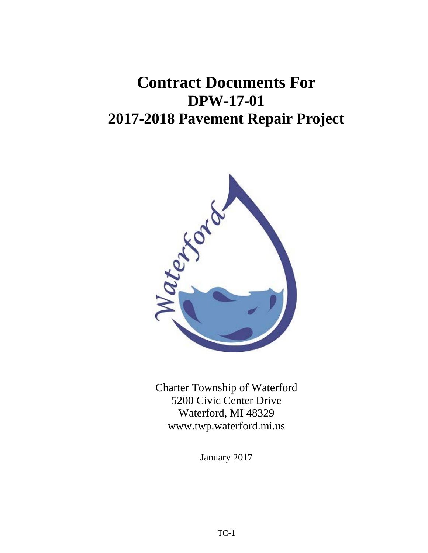# **Contract Documents For DPW-17-01 2017-2018 Pavement Repair Project**



Charter Township of Waterford 5200 Civic Center Drive Waterford, MI 48329 www.twp.waterford.mi.us

January 2017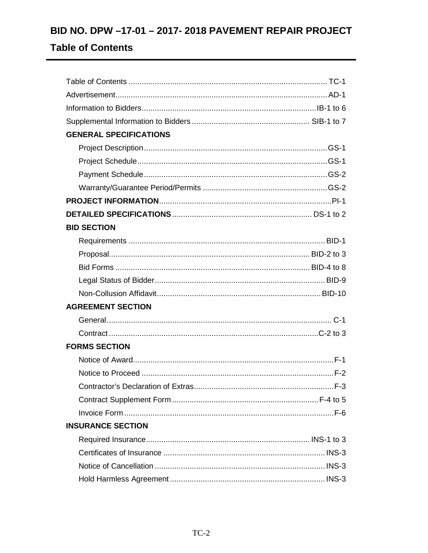# BID NO. DPW -17-01 - 2017- 2018 PAVEMENT REPAIR PROJECT

# **Table of Contents**

| <b>GENERAL SPECIFICATIONS</b> |  |
|-------------------------------|--|
|                               |  |
|                               |  |
|                               |  |
|                               |  |
|                               |  |
|                               |  |
| <b>BID SECTION</b>            |  |
|                               |  |
|                               |  |
|                               |  |
|                               |  |
|                               |  |
| <b>AGREEMENT SECTION</b>      |  |
|                               |  |
|                               |  |
| <b>FORMS SECTION</b>          |  |
|                               |  |
|                               |  |
|                               |  |
|                               |  |
|                               |  |
| <b>INSURANCE SECTION</b>      |  |
|                               |  |
|                               |  |
|                               |  |
|                               |  |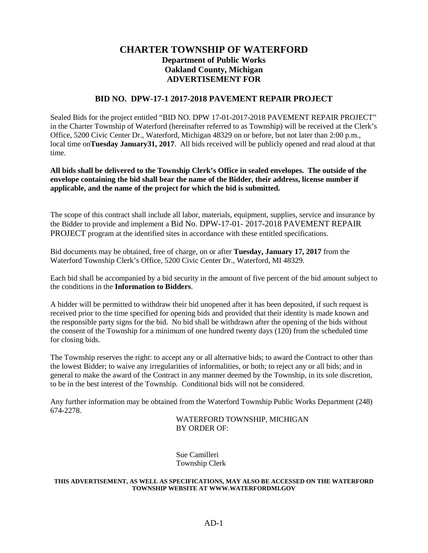## **CHARTER TOWNSHIP OF WATERFORD Department of Public Works Oakland County, Michigan ADVERTISEMENT FOR**

## **BID NO. DPW-17-1 2017-2018 PAVEMENT REPAIR PROJECT**

Sealed Bids for the project entitled "BID NO. DPW 17-01-2017-2018 PAVEMENT REPAIR PROJECT" in the Charter Township of Waterford (hereinafter referred to as Township) will be received at the Clerk's Office, 5200 Civic Center Dr., Waterford, Michigan 48329 on or before, but not later than 2:00 p.m., local time on**Tuesday January31, 2017**. All bids received will be publicly opened and read aloud at that time.

**All bids shall be delivered to the Township Clerk's Office in sealed envelopes. The outside of the envelope containing the bid shall bear the name of the Bidder, their address, license number if applicable, and the name of the project for which the bid is submitted.** 

The scope of this contract shall include all labor, materials, equipment, supplies, service and insurance by the Bidder to provide and implement a Bid No. DPW-17-01- 2017-2018 PAVEMENT REPAIR PROJECT program at the identified sites in accordance with these entitled specifications.

Bid documents may be obtained, free of charge, on or after **Tuesday, January 17, 2017** from the Waterford Township Clerk's Office, 5200 Civic Center Dr., Waterford, MI 48329.

Each bid shall be accompanied by a bid security in the amount of five percent of the bid amount subject to the conditions in the **Information to Bidders**.

A bidder will be permitted to withdraw their bid unopened after it has been deposited, if such request is received prior to the time specified for opening bids and provided that their identity is made known and the responsible party signs for the bid. No bid shall be withdrawn after the opening of the bids without the consent of the Township for a minimum of one hundred twenty days (120) from the scheduled time for closing bids.

The Township reserves the right: to accept any or all alternative bids; to award the Contract to other than the lowest Bidder; to waive any irregularities of informalities, or both; to reject any or all bids; and in general to make the award of the Contract in any manner deemed by the Township, in its sole discretion, to be in the best interest of the Township. Conditional bids will not be considered.

Any further information may be obtained from the Waterford Township Public Works Department (248) 674-2278.

> WATERFORD TOWNSHIP, MICHIGAN BY ORDER OF:

Sue Camilleri Township Clerk

#### **THIS ADVERTISEMENT, AS WELL AS SPECIFICATIONS, MAY ALSO BE ACCESSED ON THE WATERFORD TOWNSHIP WEBSITE AT WWW.WATERFORDMI.GOV**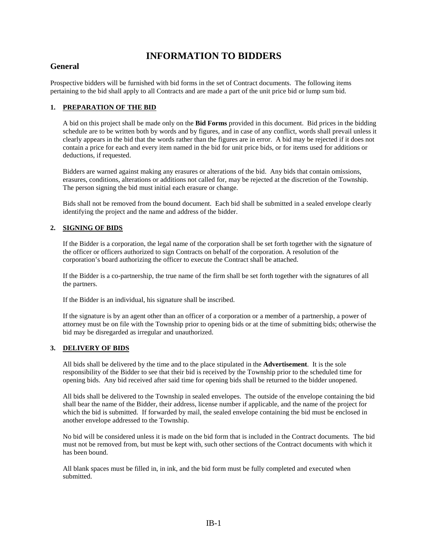# **INFORMATION TO BIDDERS**

## **General**

Prospective bidders will be furnished with bid forms in the set of Contract documents. The following items pertaining to the bid shall apply to all Contracts and are made a part of the unit price bid or lump sum bid.

## **1. PREPARATION OF THE BID**

A bid on this project shall be made only on the **Bid Forms** provided in this document. Bid prices in the bidding schedule are to be written both by words and by figures, and in case of any conflict, words shall prevail unless it clearly appears in the bid that the words rather than the figures are in error. A bid may be rejected if it does not contain a price for each and every item named in the bid for unit price bids, or for items used for additions or deductions, if requested.

Bidders are warned against making any erasures or alterations of the bid. Any bids that contain omissions, erasures, conditions, alterations or additions not called for, may be rejected at the discretion of the Township. The person signing the bid must initial each erasure or change.

Bids shall not be removed from the bound document. Each bid shall be submitted in a sealed envelope clearly identifying the project and the name and address of the bidder.

#### **2. SIGNING OF BIDS**

If the Bidder is a corporation, the legal name of the corporation shall be set forth together with the signature of the officer or officers authorized to sign Contracts on behalf of the corporation. A resolution of the corporation's board authorizing the officer to execute the Contract shall be attached.

If the Bidder is a co-partnership, the true name of the firm shall be set forth together with the signatures of all the partners.

If the Bidder is an individual, his signature shall be inscribed.

If the signature is by an agent other than an officer of a corporation or a member of a partnership, a power of attorney must be on file with the Township prior to opening bids or at the time of submitting bids; otherwise the bid may be disregarded as irregular and unauthorized.

#### **3. DELIVERY OF BIDS**

All bids shall be delivered by the time and to the place stipulated in the **Advertisement**. It is the sole responsibility of the Bidder to see that their bid is received by the Township prior to the scheduled time for opening bids. Any bid received after said time for opening bids shall be returned to the bidder unopened.

All bids shall be delivered to the Township in sealed envelopes. The outside of the envelope containing the bid shall bear the name of the Bidder, their address, license number if applicable, and the name of the project for which the bid is submitted. If forwarded by mail, the sealed envelope containing the bid must be enclosed in another envelope addressed to the Township.

No bid will be considered unless it is made on the bid form that is included in the Contract documents. The bid must not be removed from, but must be kept with, such other sections of the Contract documents with which it has been bound.

All blank spaces must be filled in, in ink, and the bid form must be fully completed and executed when submitted.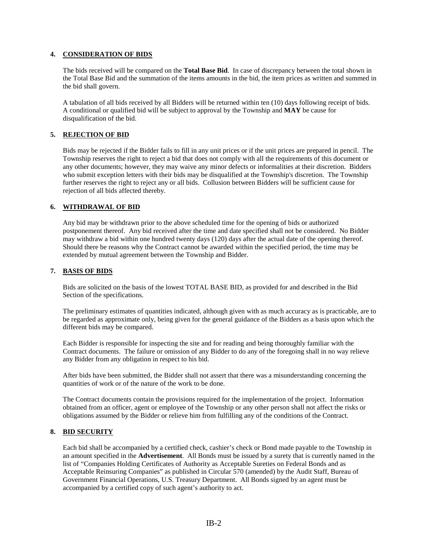#### **4. CONSIDERATION OF BIDS**

The bids received will be compared on the **Total Base Bid**. In case of discrepancy between the total shown in the Total Base Bid and the summation of the items amounts in the bid, the item prices as written and summed in the bid shall govern.

A tabulation of all bids received by all Bidders will be returned within ten (10) days following receipt of bids. A conditional or qualified bid will be subject to approval by the Township and **MAY** be cause for disqualification of the bid.

## **5. REJECTION OF BID**

Bids may be rejected if the Bidder fails to fill in any unit prices or if the unit prices are prepared in pencil. The Township reserves the right to reject a bid that does not comply with all the requirements of this document or any other documents; however, they may waive any minor defects or informalities at their discretion. Bidders who submit exception letters with their bids may be disqualified at the Township's discretion. The Township further reserves the right to reject any or all bids. Collusion between Bidders will be sufficient cause for rejection of all bids affected thereby.

#### **6. WITHDRAWAL OF BID**

Any bid may be withdrawn prior to the above scheduled time for the opening of bids or authorized postponement thereof. Any bid received after the time and date specified shall not be considered. No Bidder may withdraw a bid within one hundred twenty days (120) days after the actual date of the opening thereof. Should there be reasons why the Contract cannot be awarded within the specified period, the time may be extended by mutual agreement between the Township and Bidder.

#### **7. BASIS OF BIDS**

Bids are solicited on the basis of the lowest TOTAL BASE BID, as provided for and described in the Bid Section of the specifications.

The preliminary estimates of quantities indicated, although given with as much accuracy as is practicable, are to be regarded as approximate only, being given for the general guidance of the Bidders as a basis upon which the different bids may be compared.

Each Bidder is responsible for inspecting the site and for reading and being thoroughly familiar with the Contract documents. The failure or omission of any Bidder to do any of the foregoing shall in no way relieve any Bidder from any obligation in respect to his bid.

After bids have been submitted, the Bidder shall not assert that there was a misunderstanding concerning the quantities of work or of the nature of the work to be done.

The Contract documents contain the provisions required for the implementation of the project. Information obtained from an officer, agent or employee of the Township or any other person shall not affect the risks or obligations assumed by the Bidder or relieve him from fulfilling any of the conditions of the Contract.

#### **8. BID SECURITY**

Each bid shall be accompanied by a certified check, cashier's check or Bond made payable to the Township in an amount specified in the **Advertisement**. All Bonds must be issued by a surety that is currently named in the list of "Companies Holding Certificates of Authority as Acceptable Sureties on Federal Bonds and as Acceptable Reinsuring Companies" as published in Circular 570 (amended) by the Audit Staff, Bureau of Government Financial Operations, U.S. Treasury Department. All Bonds signed by an agent must be accompanied by a certified copy of such agent's authority to act.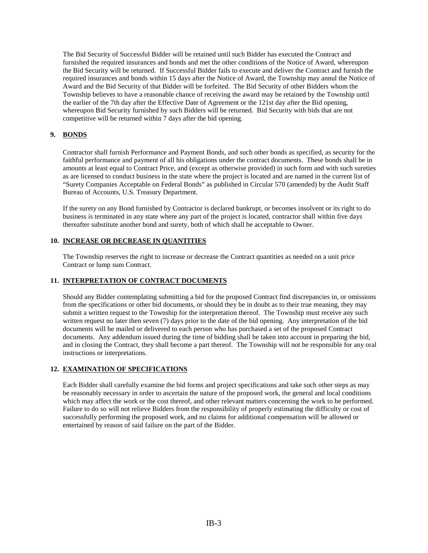The Bid Security of Successful Bidder will be retained until such Bidder has executed the Contract and furnished the required insurances and bonds and met the other conditions of the Notice of Award, whereupon the Bid Security will be returned. If Successful Bidder fails to execute and deliver the Contract and furnish the required insurances and bonds within 15 days after the Notice of Award, the Township may annul the Notice of Award and the Bid Security of that Bidder will be forfeited. The Bid Security of other Bidders whom the Township believes to have a reasonable chance of receiving the award may be retained by the Township until the earlier of the 7th day after the Effective Date of Agreement or the 121st day after the Bid opening, whereupon Bid Security furnished by such Bidders will be returned. Bid Security with bids that are not competitive will be returned within 7 days after the bid opening.

## **9. BONDS**

Contractor shall furnish Performance and Payment Bonds, and such other bonds as specified, as security for the faithful performance and payment of all his obligations under the contract documents. These bonds shall be in amounts at least equal to Contract Price, and (except as otherwise provided) in such form and with such sureties as are licensed to conduct business in the state where the project is located and are named in the current list of "Surety Companies Acceptable on Federal Bonds" as published in Circular 570 (amended) by the Audit Staff Bureau of Accounts, U.S. Treasury Department.

If the surety on any Bond furnished by Contractor is declared bankrupt, or becomes insolvent or its right to do business is terminated in any state where any part of the project is located, contractor shall within five days thereafter substitute another bond and surety, both of which shall be acceptable to Owner.

#### **10. INCREASE OR DECREASE IN QUANTITIES**

The Township reserves the right to increase or decrease the Contract quantities as needed on a unit price Contract or lump sum Contract.

#### **11. INTERPRETATION OF CONTRACT DOCUMENTS**

Should any Bidder contemplating submitting a bid for the proposed Contract find discrepancies in, or omissions from the specifications or other bid documents, or should they be in doubt as to their true meaning, they may submit a written request to the Township for the interpretation thereof. The Township must receive any such written request no later then seven (7) days prior to the date of the bid opening. Any interpretation of the bid documents will be mailed or delivered to each person who has purchased a set of the proposed Contract documents. Any addendum issued during the time of bidding shall be taken into account in preparing the bid, and in closing the Contract, they shall become a part thereof. The Township will not be responsible for any oral instructions or interpretations.

## **12. EXAMINATION OF SPECIFICATIONS**

Each Bidder shall carefully examine the bid forms and project specifications and take such other steps as may be reasonably necessary in order to ascertain the nature of the proposed work, the general and local conditions which may affect the work or the cost thereof, and other relevant matters concerning the work to be performed. Failure to do so will not relieve Bidders from the responsibility of properly estimating the difficulty or cost of successfully performing the proposed work, and no claims for additional compensation will be allowed or entertained by reason of said failure on the part of the Bidder.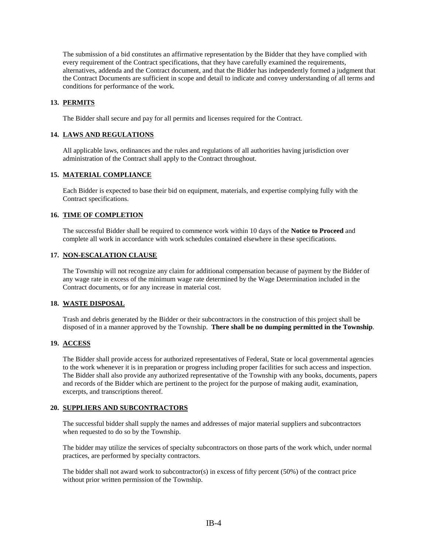The submission of a bid constitutes an affirmative representation by the Bidder that they have complied with every requirement of the Contract specifications, that they have carefully examined the requirements, alternatives, addenda and the Contract document, and that the Bidder has independently formed a judgment that the Contract Documents are sufficient in scope and detail to indicate and convey understanding of all terms and conditions for performance of the work.

## **13. PERMITS**

The Bidder shall secure and pay for all permits and licenses required for the Contract.

## **14. LAWS AND REGULATIONS**

All applicable laws, ordinances and the rules and regulations of all authorities having jurisdiction over administration of the Contract shall apply to the Contract throughout.

#### **15. MATERIAL COMPLIANCE**

Each Bidder is expected to base their bid on equipment, materials, and expertise complying fully with the Contract specifications.

## **16. TIME OF COMPLETION**

The successful Bidder shall be required to commence work within 10 days of the **Notice to Proceed** and complete all work in accordance with work schedules contained elsewhere in these specifications.

#### **17. NON-ESCALATION CLAUSE**

The Township will not recognize any claim for additional compensation because of payment by the Bidder of any wage rate in excess of the minimum wage rate determined by the Wage Determination included in the Contract documents, or for any increase in material cost.

#### **18. WASTE DISPOSAL**

Trash and debris generated by the Bidder or their subcontractors in the construction of this project shall be disposed of in a manner approved by the Township. **There shall be no dumping permitted in the Township**.

#### **19. ACCESS**

The Bidder shall provide access for authorized representatives of Federal, State or local governmental agencies to the work whenever it is in preparation or progress including proper facilities for such access and inspection. The Bidder shall also provide any authorized representative of the Township with any books, documents, papers and records of the Bidder which are pertinent to the project for the purpose of making audit, examination, excerpts, and transcriptions thereof.

#### **20. SUPPLIERS AND SUBCONTRACTORS**

The successful bidder shall supply the names and addresses of major material suppliers and subcontractors when requested to do so by the Township.

The bidder may utilize the services of specialty subcontractors on those parts of the work which, under normal practices, are performed by specialty contractors.

The bidder shall not award work to subcontractor(s) in excess of fifty percent  $(50%)$  of the contract price without prior written permission of the Township.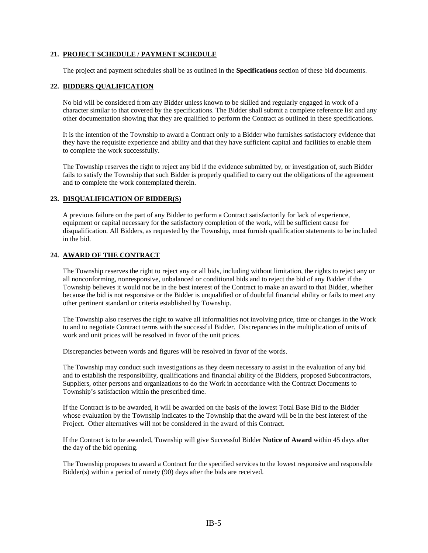#### **21. PROJECT SCHEDULE / PAYMENT SCHEDULE**

The project and payment schedules shall be as outlined in the **Specifications** section of these bid documents.

#### **22. BIDDERS QUALIFICATION**

No bid will be considered from any Bidder unless known to be skilled and regularly engaged in work of a character similar to that covered by the specifications. The Bidder shall submit a complete reference list and any other documentation showing that they are qualified to perform the Contract as outlined in these specifications.

It is the intention of the Township to award a Contract only to a Bidder who furnishes satisfactory evidence that they have the requisite experience and ability and that they have sufficient capital and facilities to enable them to complete the work successfully.

The Township reserves the right to reject any bid if the evidence submitted by, or investigation of, such Bidder fails to satisfy the Township that such Bidder is properly qualified to carry out the obligations of the agreement and to complete the work contemplated therein.

#### **23. DISQUALIFICATION OF BIDDER(S)**

A previous failure on the part of any Bidder to perform a Contract satisfactorily for lack of experience, equipment or capital necessary for the satisfactory completion of the work, will be sufficient cause for disqualification. All Bidders, as requested by the Township, must furnish qualification statements to be included in the bid.

#### **24. AWARD OF THE CONTRACT**

The Township reserves the right to reject any or all bids, including without limitation, the rights to reject any or all nonconforming, nonresponsive, unbalanced or conditional bids and to reject the bid of any Bidder if the Township believes it would not be in the best interest of the Contract to make an award to that Bidder, whether because the bid is not responsive or the Bidder is unqualified or of doubtful financial ability or fails to meet any other pertinent standard or criteria established by Township.

The Township also reserves the right to waive all informalities not involving price, time or changes in the Work to and to negotiate Contract terms with the successful Bidder. Discrepancies in the multiplication of units of work and unit prices will be resolved in favor of the unit prices.

Discrepancies between words and figures will be resolved in favor of the words.

The Township may conduct such investigations as they deem necessary to assist in the evaluation of any bid and to establish the responsibility, qualifications and financial ability of the Bidders, proposed Subcontractors, Suppliers, other persons and organizations to do the Work in accordance with the Contract Documents to Township's satisfaction within the prescribed time.

If the Contract is to be awarded, it will be awarded on the basis of the lowest Total Base Bid to the Bidder whose evaluation by the Township indicates to the Township that the award will be in the best interest of the Project. Other alternatives will not be considered in the award of this Contract.

If the Contract is to be awarded, Township will give Successful Bidder **Notice of Award** within 45 days after the day of the bid opening.

The Township proposes to award a Contract for the specified services to the lowest responsive and responsible Bidder(s) within a period of ninety (90) days after the bids are received.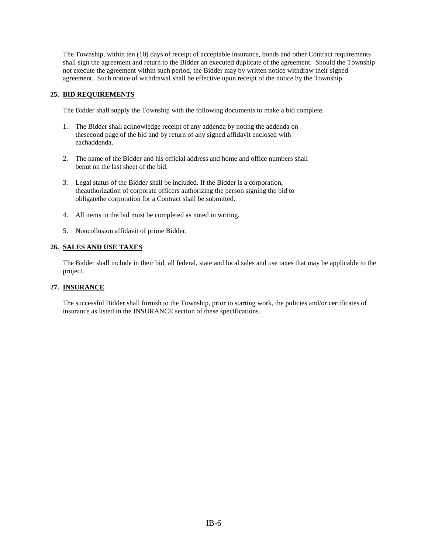The Township, within ten (10) days of receipt of acceptable insurance, bonds and other Contract requirements shall sign the agreement and return to the Bidder an executed duplicate of the agreement. Should the Township not execute the agreement within such period, the Bidder may by written notice withdraw their signed agreement. Such notice of withdrawal shall be effective upon receipt of the notice by the Township.

## **25. BID REQUIREMENTS**

The Bidder shall supply the Township with the following documents to make a bid complete.

- 1. The Bidder shall acknowledge receipt of any addenda by noting the addenda on thesecond page of the bid and by return of any signed affidavit enclosed with eachaddenda.
- 2. The name of the Bidder and his official address and home and office numbers shall beput on the last sheet of the bid.
- 3. Legal status of the Bidder shall be included. If the Bidder is a corporation, theauthorization of corporate officers authorizing the person signing the bid to obligatethe corporation for a Contract shall be submitted.
- 4. All items in the bid must be completed as noted in writing.
- 5. Noncollusion affidavit of prime Bidder.

## **26. SALES AND USE TAXES**

The Bidder shall include in their bid, all federal, state and local sales and use taxes that may be applicable to the project.

#### **27. INSURANCE**

The successful Bidder shall furnish to the Township, prior to starting work, the policies and/or certificates of insurance as listed in the INSURANCE section of these specifications.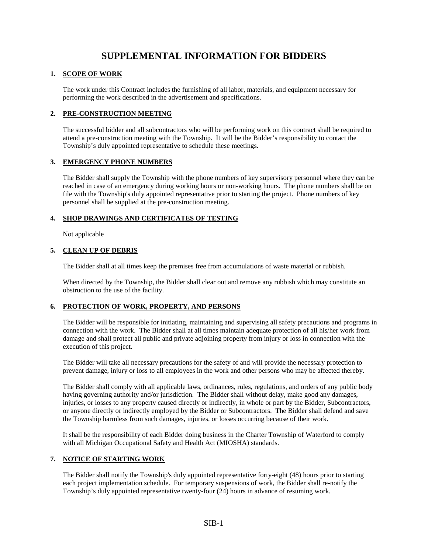# **SUPPLEMENTAL INFORMATION FOR BIDDERS**

## **1. SCOPE OF WORK**

The work under this Contract includes the furnishing of all labor, materials, and equipment necessary for performing the work described in the advertisement and specifications.

## **2. PRE-CONSTRUCTION MEETING**

The successful bidder and all subcontractors who will be performing work on this contract shall be required to attend a pre-construction meeting with the Township. It will be the Bidder's responsibility to contact the Township's duly appointed representative to schedule these meetings.

## **3. EMERGENCY PHONE NUMBERS**

The Bidder shall supply the Township with the phone numbers of key supervisory personnel where they can be reached in case of an emergency during working hours or non-working hours. The phone numbers shall be on file with the Township's duly appointed representative prior to starting the project. Phone numbers of key personnel shall be supplied at the pre-construction meeting.

## **4. SHOP DRAWINGS AND CERTIFICATES OF TESTING**

Not applicable

## **5. CLEAN UP OF DEBRIS**

The Bidder shall at all times keep the premises free from accumulations of waste material or rubbish.

When directed by the Township, the Bidder shall clear out and remove any rubbish which may constitute an obstruction to the use of the facility.

## **6. PROTECTION OF WORK, PROPERTY, AND PERSONS**

The Bidder will be responsible for initiating, maintaining and supervising all safety precautions and programs in connection with the work. The Bidder shall at all times maintain adequate protection of all his/her work from damage and shall protect all public and private adjoining property from injury or loss in connection with the execution of this project.

The Bidder will take all necessary precautions for the safety of and will provide the necessary protection to prevent damage, injury or loss to all employees in the work and other persons who may be affected thereby.

The Bidder shall comply with all applicable laws, ordinances, rules, regulations, and orders of any public body having governing authority and/or jurisdiction. The Bidder shall without delay, make good any damages, injuries, or losses to any property caused directly or indirectly, in whole or part by the Bidder, Subcontractors, or anyone directly or indirectly employed by the Bidder or Subcontractors. The Bidder shall defend and save the Township harmless from such damages, injuries, or losses occurring because of their work.

It shall be the responsibility of each Bidder doing business in the Charter Township of Waterford to comply with all Michigan Occupational Safety and Health Act (MIOSHA) standards.

## **7. NOTICE OF STARTING WORK**

The Bidder shall notify the Township's duly appointed representative forty-eight (48) hours prior to starting each project implementation schedule. For temporary suspensions of work, the Bidder shall re-notify the Township's duly appointed representative twenty-four (24) hours in advance of resuming work.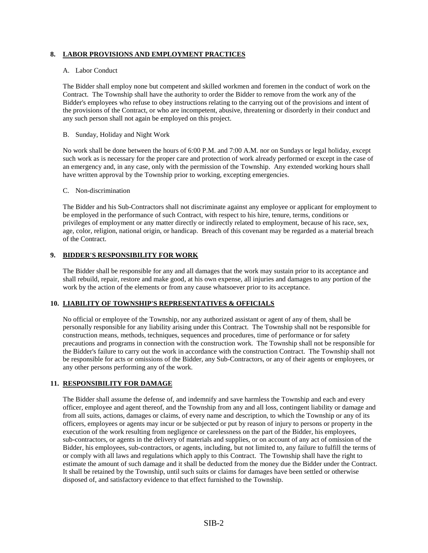## **8. LABOR PROVISIONS AND EMPLOYMENT PRACTICES**

#### A. Labor Conduct

The Bidder shall employ none but competent and skilled workmen and foremen in the conduct of work on the Contract. The Township shall have the authority to order the Bidder to remove from the work any of the Bidder's employees who refuse to obey instructions relating to the carrying out of the provisions and intent of the provisions of the Contract, or who are incompetent, abusive, threatening or disorderly in their conduct and any such person shall not again be employed on this project.

#### B. Sunday, Holiday and Night Work

No work shall be done between the hours of 6:00 P.M. and 7:00 A.M. nor on Sundays or legal holiday, except such work as is necessary for the proper care and protection of work already performed or except in the case of an emergency and, in any case, only with the permission of the Township. Any extended working hours shall have written approval by the Township prior to working, excepting emergencies.

#### C. Non-discrimination

The Bidder and his Sub-Contractors shall not discriminate against any employee or applicant for employment to be employed in the performance of such Contract, with respect to his hire, tenure, terms, conditions or privileges of employment or any matter directly or indirectly related to employment, because of his race, sex, age, color, religion, national origin, or handicap. Breach of this covenant may be regarded as a material breach of the Contract.

#### **9. BIDDER'S RESPONSIBILITY FOR WORK**

The Bidder shall be responsible for any and all damages that the work may sustain prior to its acceptance and shall rebuild, repair, restore and make good, at his own expense, all injuries and damages to any portion of the work by the action of the elements or from any cause whatsoever prior to its acceptance.

## **10. LIABILITY OF TOWNSHIP'S REPRESENTATIVES & OFFICIALS**

No official or employee of the Township, nor any authorized assistant or agent of any of them, shall be personally responsible for any liability arising under this Contract. The Township shall not be responsible for construction means, methods, techniques, sequences and procedures, time of performance or for safety precautions and programs in connection with the construction work. The Township shall not be responsible for the Bidder's failure to carry out the work in accordance with the construction Contract. The Township shall not be responsible for acts or omissions of the Bidder, any Sub-Contractors, or any of their agents or employees, or any other persons performing any of the work.

#### **11. RESPONSIBILITY FOR DAMAGE**

The Bidder shall assume the defense of, and indemnify and save harmless the Township and each and every officer, employee and agent thereof, and the Township from any and all loss, contingent liability or damage and from all suits, actions, damages or claims, of every name and description, to which the Township or any of its officers, employees or agents may incur or be subjected or put by reason of injury to persons or property in the execution of the work resulting from negligence or carelessness on the part of the Bidder, his employees, sub-contractors, or agents in the delivery of materials and supplies, or on account of any act of omission of the Bidder, his employees, sub-contractors, or agents, including, but not limited to, any failure to fulfill the terms of or comply with all laws and regulations which apply to this Contract. The Township shall have the right to estimate the amount of such damage and it shall be deducted from the money due the Bidder under the Contract. It shall be retained by the Township, until such suits or claims for damages have been settled or otherwise disposed of, and satisfactory evidence to that effect furnished to the Township.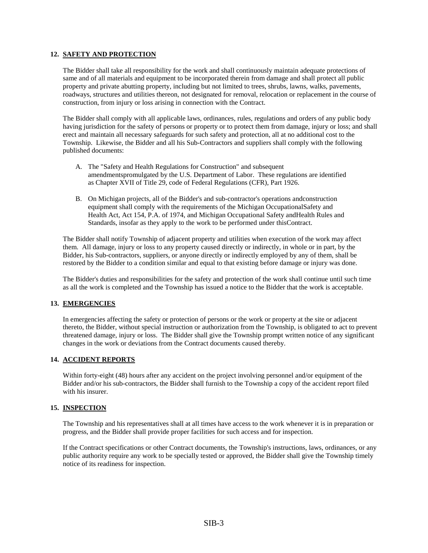#### **12. SAFETY AND PROTECTION**

The Bidder shall take all responsibility for the work and shall continuously maintain adequate protections of same and of all materials and equipment to be incorporated therein from damage and shall protect all public property and private abutting property, including but not limited to trees, shrubs, lawns, walks, pavements, roadways, structures and utilities thereon, not designated for removal, relocation or replacement in the course of construction, from injury or loss arising in connection with the Contract.

The Bidder shall comply with all applicable laws, ordinances, rules, regulations and orders of any public body having jurisdiction for the safety of persons or property or to protect them from damage, injury or loss; and shall erect and maintain all necessary safeguards for such safety and protection, all at no additional cost to the Township. Likewise, the Bidder and all his Sub-Contractors and suppliers shall comply with the following published documents:

- A. The "Safety and Health Regulations for Construction" and subsequent amendmentspromulgated by the U.S. Department of Labor. These regulations are identified as Chapter XVII of Title 29, code of Federal Regulations (CFR), Part 1926.
- B. On Michigan projects, all of the Bidder's and sub-contractor's operations andconstruction equipment shall comply with the requirements of the Michigan OccupationalSafety and Health Act, Act 154, P.A. of 1974, and Michigan Occupational Safety andHealth Rules and Standards, insofar as they apply to the work to be performed under thisContract.

The Bidder shall notify Township of adjacent property and utilities when execution of the work may affect them. All damage, injury or loss to any property caused directly or indirectly, in whole or in part, by the Bidder, his Sub-contractors, suppliers, or anyone directly or indirectly employed by any of them, shall be restored by the Bidder to a condition similar and equal to that existing before damage or injury was done.

The Bidder's duties and responsibilities for the safety and protection of the work shall continue until such time as all the work is completed and the Township has issued a notice to the Bidder that the work is acceptable.

#### **13. EMERGENCIES**

In emergencies affecting the safety or protection of persons or the work or property at the site or adjacent thereto, the Bidder, without special instruction or authorization from the Township, is obligated to act to prevent threatened damage, injury or loss. The Bidder shall give the Township prompt written notice of any significant changes in the work or deviations from the Contract documents caused thereby.

#### **14. ACCIDENT REPORTS**

Within forty-eight (48) hours after any accident on the project involving personnel and/or equipment of the Bidder and/or his sub-contractors, the Bidder shall furnish to the Township a copy of the accident report filed with his insurer.

#### **15. INSPECTION**

The Township and his representatives shall at all times have access to the work whenever it is in preparation or progress, and the Bidder shall provide proper facilities for such access and for inspection.

If the Contract specifications or other Contract documents, the Township's instructions, laws, ordinances, or any public authority require any work to be specially tested or approved, the Bidder shall give the Township timely notice of its readiness for inspection.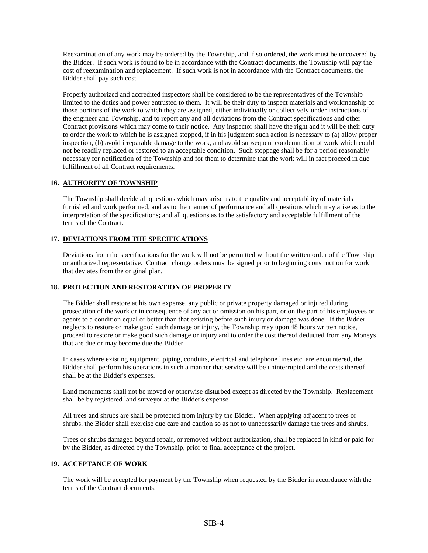Reexamination of any work may be ordered by the Township, and if so ordered, the work must be uncovered by the Bidder. If such work is found to be in accordance with the Contract documents, the Township will pay the cost of reexamination and replacement. If such work is not in accordance with the Contract documents, the Bidder shall pay such cost.

Properly authorized and accredited inspectors shall be considered to be the representatives of the Township limited to the duties and power entrusted to them. It will be their duty to inspect materials and workmanship of those portions of the work to which they are assigned, either individually or collectively under instructions of the engineer and Township, and to report any and all deviations from the Contract specifications and other Contract provisions which may come to their notice. Any inspector shall have the right and it will be their duty to order the work to which he is assigned stopped, if in his judgment such action is necessary to (a) allow proper inspection, (b) avoid irreparable damage to the work, and avoid subsequent condemnation of work which could not be readily replaced or restored to an acceptable condition. Such stoppage shall be for a period reasonably necessary for notification of the Township and for them to determine that the work will in fact proceed in due fulfillment of all Contract requirements.

#### **16. AUTHORITY OF TOWNSHIP**

The Township shall decide all questions which may arise as to the quality and acceptability of materials furnished and work performed, and as to the manner of performance and all questions which may arise as to the interpretation of the specifications; and all questions as to the satisfactory and acceptable fulfillment of the terms of the Contract.

## **17. DEVIATIONS FROM THE SPECIFICATIONS**

Deviations from the specifications for the work will not be permitted without the written order of the Township or authorized representative. Contract change orders must be signed prior to beginning construction for work that deviates from the original plan.

#### **18. PROTECTION AND RESTORATION OF PROPERTY**

The Bidder shall restore at his own expense, any public or private property damaged or injured during prosecution of the work or in consequence of any act or omission on his part, or on the part of his employees or agents to a condition equal or better than that existing before such injury or damage was done. If the Bidder neglects to restore or make good such damage or injury, the Township may upon 48 hours written notice, proceed to restore or make good such damage or injury and to order the cost thereof deducted from any Moneys that are due or may become due the Bidder.

In cases where existing equipment, piping, conduits, electrical and telephone lines etc. are encountered, the Bidder shall perform his operations in such a manner that service will be uninterrupted and the costs thereof shall be at the Bidder's expenses.

Land monuments shall not be moved or otherwise disturbed except as directed by the Township. Replacement shall be by registered land surveyor at the Bidder's expense.

All trees and shrubs are shall be protected from injury by the Bidder. When applying adjacent to trees or shrubs, the Bidder shall exercise due care and caution so as not to unnecessarily damage the trees and shrubs.

Trees or shrubs damaged beyond repair, or removed without authorization, shall be replaced in kind or paid for by the Bidder, as directed by the Township, prior to final acceptance of the project.

#### **19. ACCEPTANCE OF WORK**

The work will be accepted for payment by the Township when requested by the Bidder in accordance with the terms of the Contract documents.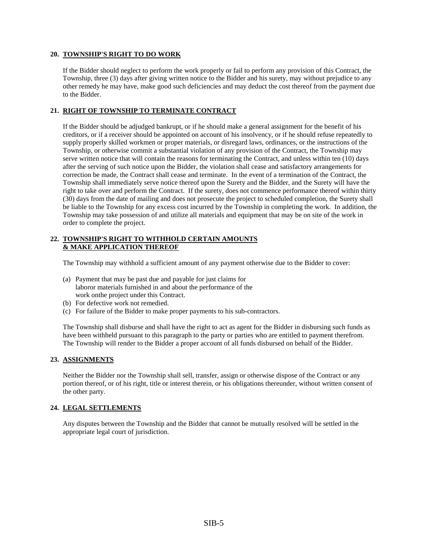#### **20. TOWNSHIP'S RIGHT TO DO WORK**

If the Bidder should neglect to perform the work properly or fail to perform any provision of this Contract, the Township, three (3) days after giving written notice to the Bidder and his surety, may without prejudice to any other remedy he may have, make good such deficiencies and may deduct the cost thereof from the payment due to the Bidder.

## **21. RIGHT OF TOWNSHIP TO TERMINATE CONTRACT**

If the Bidder should be adjudged bankrupt, or if he should make a general assignment for the benefit of his creditors, or if a receiver should be appointed on account of his insolvency, or if he should refuse repeatedly to supply properly skilled workmen or proper materials, or disregard laws, ordinances, or the instructions of the Township, or otherwise commit a substantial violation of any provision of the Contract, the Township may serve written notice that will contain the reasons for terminating the Contract, and unless within ten (10) days after the serving of such notice upon the Bidder, the violation shall cease and satisfactory arrangements for correction be made, the Contract shall cease and terminate. In the event of a termination of the Contract, the Township shall immediately serve notice thereof upon the Surety and the Bidder, and the Surety will have the right to take over and perform the Contract. If the surety, does not commence performance thereof within thirty (30) days from the date of mailing and does not prosecute the project to scheduled completion, the Surety shall be liable to the Township for any excess cost incurred by the Township in completing the work. In addition, the Township may take possession of and utilize all materials and equipment that may be on site of the work in order to complete the project.

#### **22. TOWNSHIP'S RIGHT TO WITHHOLD CERTAIN AMOUNTS & MAKE APPLICATION THEREOF**

The Township may withhold a sufficient amount of any payment otherwise due to the Bidder to cover:

- (a) Payment that may be past due and payable for just claims for laboror materials furnished in and about the performance of the work onthe project under this Contract.
- (b) For defective work not remedied.
- (c) For failure of the Bidder to make proper payments to his sub-contractors.

The Township shall disburse and shall have the right to act as agent for the Bidder in disbursing such funds as have been withheld pursuant to this paragraph to the party or parties who are entitled to payment therefrom. The Township will render to the Bidder a proper account of all funds disbursed on behalf of the Bidder.

#### **23. ASSIGNMENTS**

Neither the Bidder nor the Township shall sell, transfer, assign or otherwise dispose of the Contract or any portion thereof, or of his right, title or interest therein, or his obligations thereunder, without written consent of the other party.

#### **24. LEGAL SETTLEMENTS**

Any disputes between the Township and the Bidder that cannot be mutually resolved will be settled in the appropriate legal court of jurisdiction.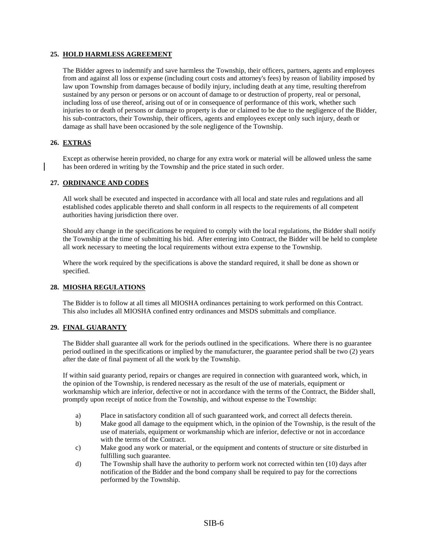#### **25. HOLD HARMLESS AGREEMENT**

The Bidder agrees to indemnify and save harmless the Township, their officers, partners, agents and employees from and against all loss or expense (including court costs and attorney's fees) by reason of liability imposed by law upon Township from damages because of bodily injury, including death at any time, resulting therefrom sustained by any person or persons or on account of damage to or destruction of property, real or personal, including loss of use thereof, arising out of or in consequence of performance of this work, whether such injuries to or death of persons or damage to property is due or claimed to be due to the negligence of the Bidder, his sub-contractors, their Township, their officers, agents and employees except only such injury, death or damage as shall have been occasioned by the sole negligence of the Township.

#### **26. EXTRAS**

Except as otherwise herein provided, no charge for any extra work or material will be allowed unless the same has been ordered in writing by the Township and the price stated in such order.

#### **27. ORDINANCE AND CODES**

All work shall be executed and inspected in accordance with all local and state rules and regulations and all established codes applicable thereto and shall conform in all respects to the requirements of all competent authorities having jurisdiction there over.

Should any change in the specifications be required to comply with the local regulations, the Bidder shall notify the Township at the time of submitting his bid. After entering into Contract, the Bidder will be held to complete all work necessary to meeting the local requirements without extra expense to the Township.

Where the work required by the specifications is above the standard required, it shall be done as shown or specified.

#### **28. MIOSHA REGULATIONS**

The Bidder is to follow at all times all MIOSHA ordinances pertaining to work performed on this Contract. This also includes all MIOSHA confined entry ordinances and MSDS submittals and compliance.

#### **29. FINAL GUARANTY**

The Bidder shall guarantee all work for the periods outlined in the specifications. Where there is no guarantee period outlined in the specifications or implied by the manufacturer, the guarantee period shall be two (2) years after the date of final payment of all the work by the Township.

If within said guaranty period, repairs or changes are required in connection with guaranteed work, which, in the opinion of the Township, is rendered necessary as the result of the use of materials, equipment or workmanship which are inferior, defective or not in accordance with the terms of the Contract, the Bidder shall, promptly upon receipt of notice from the Township, and without expense to the Township:

- a) Place in satisfactory condition all of such guaranteed work, and correct all defects therein.
- b) Make good all damage to the equipment which, in the opinion of the Township, is the result of the use of materials, equipment or workmanship which are inferior, defective or not in accordance with the terms of the Contract.
- c) Make good any work or material, or the equipment and contents of structure or site disturbed in fulfilling such guarantee.
- d) The Township shall have the authority to perform work not corrected within ten (10) days after notification of the Bidder and the bond company shall be required to pay for the corrections performed by the Township.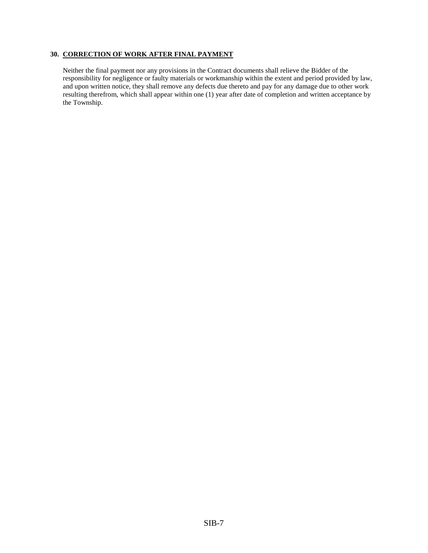## **30. CORRECTION OF WORK AFTER FINAL PAYMENT**

Neither the final payment nor any provisions in the Contract documents shall relieve the Bidder of the responsibility for negligence or faulty materials or workmanship within the extent and period provided by law, and upon written notice, they shall remove any defects due thereto and pay for any damage due to other work resulting therefrom, which shall appear within one (1) year after date of completion and written acceptance by the Township.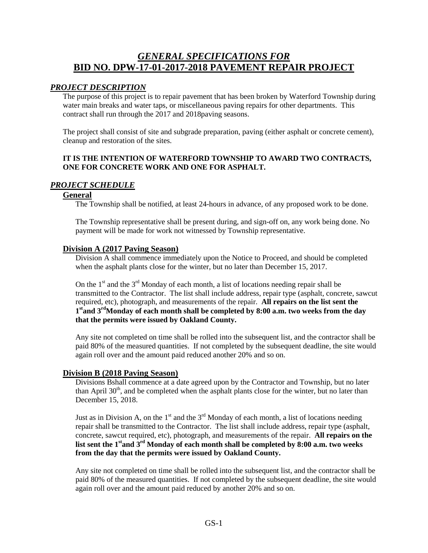# *GENERAL SPECIFICATIONS FOR* **BID NO. DPW-17-01-2017-2018 PAVEMENT REPAIR PROJECT**

## *PROJECT DESCRIPTION*

The purpose of this project is to repair pavement that has been broken by Waterford Township during water main breaks and water taps, or miscellaneous paving repairs for other departments. This contract shall run through the 2017 and 2018paving seasons.

The project shall consist of site and subgrade preparation, paving (either asphalt or concrete cement), cleanup and restoration of the sites.

## **IT IS THE INTENTION OF WATERFORD TOWNSHIP TO AWARD TWO CONTRACTS, ONE FOR CONCRETE WORK AND ONE FOR ASPHALT.**

## *PROJECT SCHEDULE*

## **General**

The Township shall be notified, at least 24-hours in advance, of any proposed work to be done.

The Township representative shall be present during, and sign-off on, any work being done. No payment will be made for work not witnessed by Township representative.

## **Division A (2017 Paving Season)**

Division A shall commence immediately upon the Notice to Proceed, and should be completed when the asphalt plants close for the winter, but no later than December 15, 2017.

On the  $1<sup>st</sup>$  and the  $3<sup>rd</sup>$  Monday of each month, a list of locations needing repair shall be transmitted to the Contractor. The list shall include address, repair type (asphalt, concrete, sawcut required, etc), photograph, and measurements of the repair. **All repairs on the list sent the**  1<sup>st</sup> and 3<sup>rd</sup>Monday of each month shall be completed by 8:00 a.m. two weeks from the day **that the permits were issued by Oakland County.**

Any site not completed on time shall be rolled into the subsequent list, and the contractor shall be paid 80% of the measured quantities. If not completed by the subsequent deadline, the site would again roll over and the amount paid reduced another 20% and so on.

## **Division B (2018 Paving Season)**

Divisions Bshall commence at a date agreed upon by the Contractor and Township, but no later than April  $30<sup>th</sup>$ , and be completed when the asphalt plants close for the winter, but no later than December 15, 2018.

Just as in Division A, on the  $1<sup>st</sup>$  and the  $3<sup>rd</sup>$  Monday of each month, a list of locations needing repair shall be transmitted to the Contractor. The list shall include address, repair type (asphalt, concrete, sawcut required, etc), photograph, and measurements of the repair. **All repairs on the**  list sent the 1<sup>st</sup> and 3<sup>rd</sup> Monday of each month shall be completed by 8:00 a.m. two weeks **from the day that the permits were issued by Oakland County.**

Any site not completed on time shall be rolled into the subsequent list, and the contractor shall be paid 80% of the measured quantities. If not completed by the subsequent deadline, the site would again roll over and the amount paid reduced by another 20% and so on.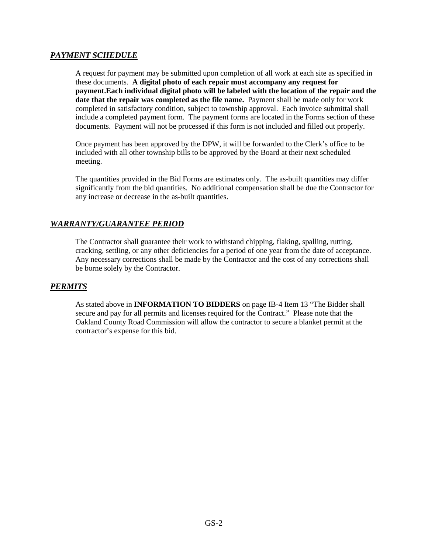## *PAYMENT SCHEDULE*

A request for payment may be submitted upon completion of all work at each site as specified in these documents. **A digital photo of each repair must accompany any request for payment.Each individual digital photo will be labeled with the location of the repair and the date that the repair was completed as the file name.** Payment shall be made only for work completed in satisfactory condition, subject to township approval. Each invoice submittal shall include a completed payment form. The payment forms are located in the Forms section of these documents. Payment will not be processed if this form is not included and filled out properly.

Once payment has been approved by the DPW, it will be forwarded to the Clerk's office to be included with all other township bills to be approved by the Board at their next scheduled meeting.

The quantities provided in the Bid Forms are estimates only. The as-built quantities may differ significantly from the bid quantities. No additional compensation shall be due the Contractor for any increase or decrease in the as-built quantities.

## *WARRANTY/GUARANTEE PERIOD*

The Contractor shall guarantee their work to withstand chipping, flaking, spalling, rutting, cracking, settling, or any other deficiencies for a period of one year from the date of acceptance. Any necessary corrections shall be made by the Contractor and the cost of any corrections shall be borne solely by the Contractor.

## *PERMITS*

As stated above in **INFORMATION TO BIDDERS** on page IB-4 Item 13 "The Bidder shall secure and pay for all permits and licenses required for the Contract." Please note that the Oakland County Road Commission will allow the contractor to secure a blanket permit at the contractor's expense for this bid.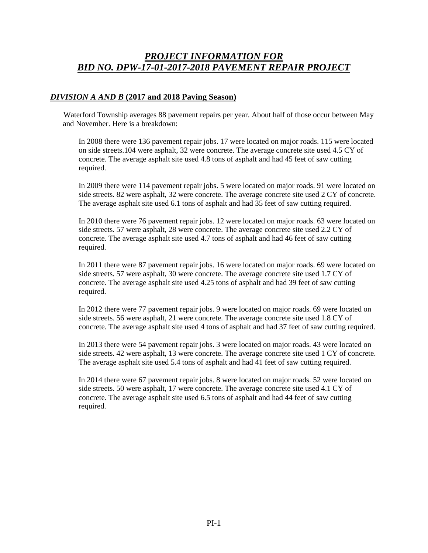# *PROJECT INFORMATION FOR BID NO. DPW-17-01-2017-2018 PAVEMENT REPAIR PROJECT*

## *DIVISION A AND B* **(2017 and 2018 Paving Season)**

Waterford Township averages 88 pavement repairs per year. About half of those occur between May and November. Here is a breakdown:

In 2008 there were 136 pavement repair jobs. 17 were located on major roads. 115 were located on side streets.104 were asphalt, 32 were concrete. The average concrete site used 4.5 CY of concrete. The average asphalt site used 4.8 tons of asphalt and had 45 feet of saw cutting required.

In 2009 there were 114 pavement repair jobs. 5 were located on major roads. 91 were located on side streets. 82 were asphalt, 32 were concrete. The average concrete site used 2 CY of concrete. The average asphalt site used 6.1 tons of asphalt and had 35 feet of saw cutting required.

In 2010 there were 76 pavement repair jobs. 12 were located on major roads. 63 were located on side streets. 57 were asphalt, 28 were concrete. The average concrete site used 2.2 CY of concrete. The average asphalt site used 4.7 tons of asphalt and had 46 feet of saw cutting required.

In 2011 there were 87 pavement repair jobs. 16 were located on major roads. 69 were located on side streets. 57 were asphalt, 30 were concrete. The average concrete site used 1.7 CY of concrete. The average asphalt site used 4.25 tons of asphalt and had 39 feet of saw cutting required.

In 2012 there were 77 pavement repair jobs. 9 were located on major roads. 69 were located on side streets. 56 were asphalt, 21 were concrete. The average concrete site used 1.8 CY of concrete. The average asphalt site used 4 tons of asphalt and had 37 feet of saw cutting required.

In 2013 there were 54 pavement repair jobs. 3 were located on major roads. 43 were located on side streets. 42 were asphalt, 13 were concrete. The average concrete site used 1 CY of concrete. The average asphalt site used 5.4 tons of asphalt and had 41 feet of saw cutting required.

In 2014 there were 67 pavement repair jobs. 8 were located on major roads. 52 were located on side streets. 50 were asphalt, 17 were concrete. The average concrete site used 4.1 CY of concrete. The average asphalt site used 6.5 tons of asphalt and had 44 feet of saw cutting required.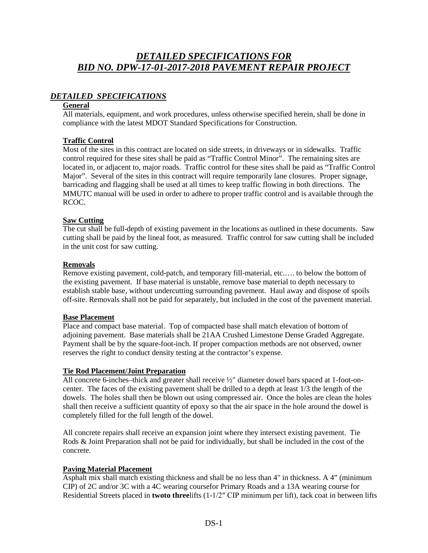# *DETAILED SPECIFICATIONS FOR BID NO. DPW-17-01-2017-2018 PAVEMENT REPAIR PROJECT*

## *DETAILED SPECIFICATIONS*

## **General**

All materials, equipment, and work procedures, unless otherwise specified herein, shall be done in compliance with the latest MDOT Standard Specifications for Construction.

## **Traffic Control**

Most of the sites in this contract are located on side streets, in driveways or in sidewalks. Traffic control required for these sites shall be paid as "Traffic Control Minor". The remaining sites are located in, or adjacent to, major roads. Traffic control for these sites shall be paid as "Traffic Control Major". Several of the sites in this contract will require temporarily lane closures. Proper signage, barricading and flagging shall be used at all times to keep traffic flowing in both directions. The MMUTC manual will be used in order to adhere to proper traffic control and is available through the RCOC.

## **Saw Cutting**

The cut shall be full-depth of existing pavement in the locations as outlined in these documents. Saw cutting shall be paid by the lineal foot, as measured. Traffic control for saw cutting shall be included in the unit cost for saw cutting.

## **Removals**

Remove existing pavement, cold-patch, and temporary fill-material, etc.…. to below the bottom of the existing pavement. If base material is unstable, remove base material to depth necessary to establish stable base, without undercutting surrounding pavement. Haul away and dispose of spoils off-site. Removals shall not be paid for separately, but included in the cost of the pavement material.

## **Base Placement**

Place and compact base material. Top of compacted base shall match elevation of bottom of adjoining pavement. Base materials shall be 21AA Crushed Limestone Dense Graded Aggregate. Payment shall be by the square-foot-inch. If proper compaction methods are not observed, owner reserves the right to conduct density testing at the contractor's expense.

## **Tie Rod Placement/Joint Preparation**

All concrete 6-inches–thick and greater shall receive ½" diameter dowel bars spaced at 1-foot-oncenter. The faces of the existing pavement shall be drilled to a depth at least 1/3 the length of the dowels. The holes shall then be blown out using compressed air. Once the holes are clean the holes shall then receive a sufficient quantity of epoxy so that the air space in the hole around the dowel is completely filled for the full length of the dowel.

All concrete repairs shall receive an expansion joint where they intersect existing pavement. Tie Rods & Joint Preparation shall not be paid for individually, but shall be included in the cost of the concrete.

## **Paving Material Placement**

Asphalt mix shall match existing thickness and shall be no less than 4" in thickness. A 4" (minimum CIP) of 2C and/or 3C with a 4C wearing coursefor Primary Roads and a 13A wearing course for Residential Streets placed in **twoto three**lifts (1-1/2″ CIP minimum per lift), tack coat in between lifts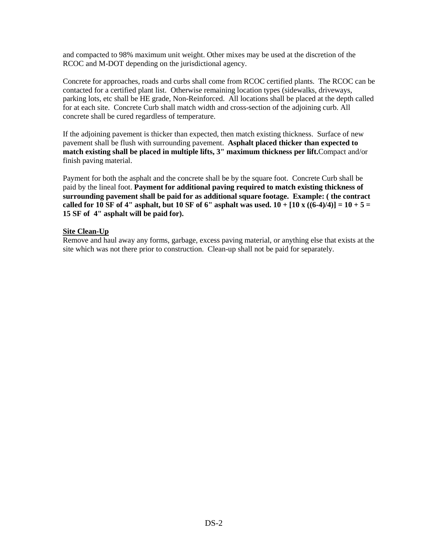and compacted to 98% maximum unit weight. Other mixes may be used at the discretion of the RCOC and M-DOT depending on the jurisdictional agency.

Concrete for approaches, roads and curbs shall come from RCOC certified plants. The RCOC can be contacted for a certified plant list. Otherwise remaining location types (sidewalks, driveways, parking lots, etc shall be HE grade, Non-Reinforced. All locations shall be placed at the depth called for at each site. Concrete Curb shall match width and cross-section of the adjoining curb. All concrete shall be cured regardless of temperature.

If the adjoining pavement is thicker than expected, then match existing thickness. Surface of new pavement shall be flush with surrounding pavement. **Asphalt placed thicker than expected to match existing shall be placed in multiple lifts, 3" maximum thickness per lift.**Compact and/or finish paving material.

Payment for both the asphalt and the concrete shall be by the square foot. Concrete Curb shall be paid by the lineal foot. **Payment for additional paving required to match existing thickness of surrounding pavement shall be paid for as additional square footage. Example: ( the contract**  called for 10 SF of 4" asphalt, but 10 SF of 6" asphalt was used.  $10 + [10 \times ((6-4)/4)] = 10 + 5 =$ **15 SF of 4" asphalt will be paid for).**

## **Site Clean-Up**

Remove and haul away any forms, garbage, excess paving material, or anything else that exists at the site which was not there prior to construction. Clean-up shall not be paid for separately.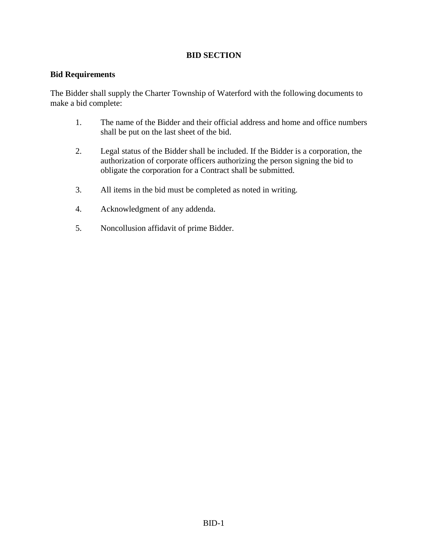## **BID SECTION**

## **Bid Requirements**

The Bidder shall supply the Charter Township of Waterford with the following documents to make a bid complete:

- 1. The name of the Bidder and their official address and home and office numbers shall be put on the last sheet of the bid.
- 2. Legal status of the Bidder shall be included. If the Bidder is a corporation, the authorization of corporate officers authorizing the person signing the bid to obligate the corporation for a Contract shall be submitted.
- 3. All items in the bid must be completed as noted in writing.
- 4. Acknowledgment of any addenda.
- 5. Noncollusion affidavit of prime Bidder.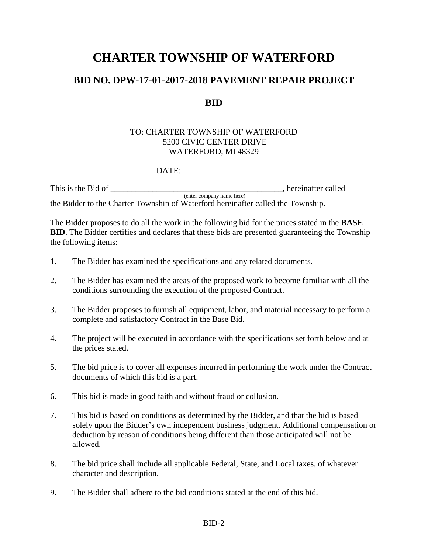# **CHARTER TOWNSHIP OF WATERFORD**

# **BID NO. DPW-17-01-2017-2018 PAVEMENT REPAIR PROJECT**

# **BID**

## TO: CHARTER TOWNSHIP OF WATERFORD 5200 CIVIC CENTER DRIVE WATERFORD, MI 48329

DATE: \_\_\_\_\_\_\_\_\_\_\_\_\_\_\_\_\_\_\_\_\_

This is the Bid of \_\_\_\_\_\_\_\_\_\_\_\_\_\_\_\_\_\_\_\_\_\_\_\_\_\_\_\_\_\_\_\_\_\_\_\_\_\_\_\_\_, hereinafter called (enter company name here) the Bidder to the Charter Township of Waterford hereinafter called the Township.

The Bidder proposes to do all the work in the following bid for the prices stated in the **BASE BID**. The Bidder certifies and declares that these bids are presented guaranteeing the Township the following items:

- 1. The Bidder has examined the specifications and any related documents.
- 2. The Bidder has examined the areas of the proposed work to become familiar with all the conditions surrounding the execution of the proposed Contract.
- 3. The Bidder proposes to furnish all equipment, labor, and material necessary to perform a complete and satisfactory Contract in the Base Bid.
- 4. The project will be executed in accordance with the specifications set forth below and at the prices stated.
- 5. The bid price is to cover all expenses incurred in performing the work under the Contract documents of which this bid is a part.
- 6. This bid is made in good faith and without fraud or collusion.
- 7. This bid is based on conditions as determined by the Bidder, and that the bid is based solely upon the Bidder's own independent business judgment. Additional compensation or deduction by reason of conditions being different than those anticipated will not be allowed.
- 8. The bid price shall include all applicable Federal, State, and Local taxes, of whatever character and description.
- 9. The Bidder shall adhere to the bid conditions stated at the end of this bid.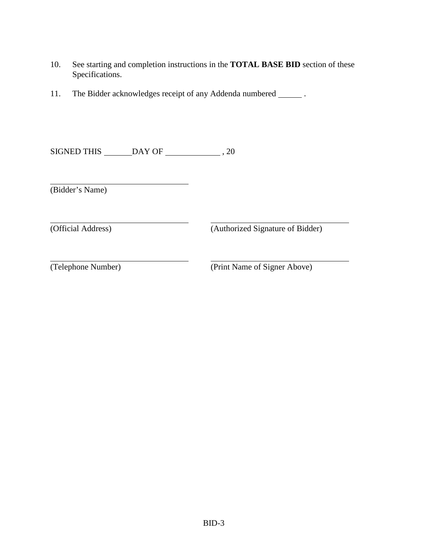- 10. See starting and completion instructions in the **TOTAL BASE BID** section of these Specifications.
- 11. The Bidder acknowledges receipt of any Addenda numbered \_\_\_\_\_\_\_.

SIGNED THIS DAY OF , 20

(Bidder's Name)

(Official Address) (Authorized Signature of Bidder)

(Telephone Number) (Print Name of Signer Above)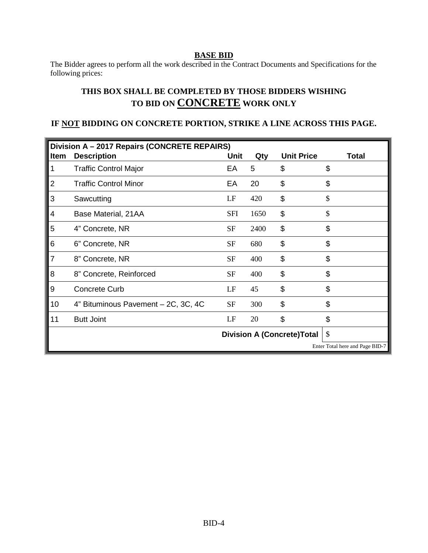## **BASE BID**

The Bidder agrees to perform all the work described in the Contract Documents and Specifications for the following prices:

# **THIS BOX SHALL BE COMPLETED BY THOSE BIDDERS WISHING TO BID ON CONCRETE WORK ONLY**

## **IF NOT BIDDING ON CONCRETE PORTION, STRIKE A LINE ACROSS THIS PAGE.**

| Division A - 2017 Repairs (CONCRETE REPAIRS) |                                     |             |      |                   |                                 |
|----------------------------------------------|-------------------------------------|-------------|------|-------------------|---------------------------------|
| Item                                         | <b>Description</b>                  | <b>Unit</b> | Qty  | <b>Unit Price</b> | <b>Total</b>                    |
| 1                                            | <b>Traffic Control Major</b>        | EA          | 5    | \$                | \$                              |
| 2                                            | <b>Traffic Control Minor</b>        | EA          | 20   | \$                | \$                              |
| 3                                            | Sawcutting                          | LF          | 420  | \$                | \$                              |
| 4                                            | Base Material, 21AA                 | <b>SFI</b>  | 1650 | \$                | \$                              |
| 5                                            | 4" Concrete, NR                     | <b>SF</b>   | 2400 | \$                | \$                              |
| 6                                            | 6" Concrete, NR                     | <b>SF</b>   | 680  | \$                | \$                              |
| $\overline{7}$                               | 8" Concrete, NR                     | <b>SF</b>   | 400  | \$                | \$                              |
| 8                                            | 8" Concrete, Reinforced             | SF          | 400  | \$                | \$                              |
| 9                                            | <b>Concrete Curb</b>                | LF          | 45   | \$                | \$                              |
| 10                                           | 4" Bituminous Pavement - 2C, 3C, 4C | <b>SF</b>   | 300  | \$                | \$                              |
| 11                                           | <b>Butt Joint</b>                   | LF          | 20   | \$                | \$                              |
|                                              | <b>Division A (Concrete)Total</b>   |             |      |                   | \$                              |
|                                              |                                     |             |      |                   | Enter Total here and Page BID-7 |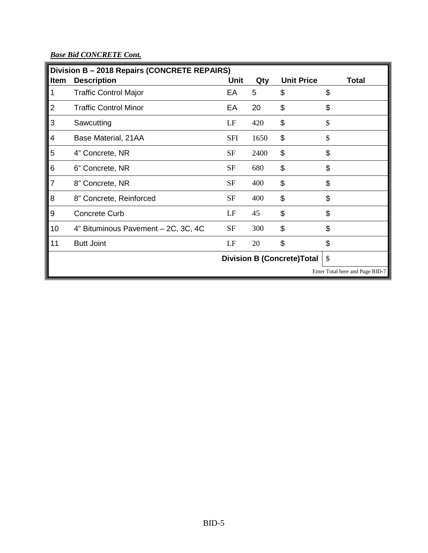*Base Bid CONCRETE Cont.*

| Division B - 2018 Repairs (CONCRETE REPAIRS) |                                     |             |      |                                    |                                 |
|----------------------------------------------|-------------------------------------|-------------|------|------------------------------------|---------------------------------|
| <b>Item</b>                                  | <b>Description</b>                  | <b>Unit</b> | Qty  | <b>Unit Price</b>                  | <b>Total</b>                    |
| 1                                            | <b>Traffic Control Major</b>        | EA          | 5    | \$                                 | \$                              |
| 2                                            | <b>Traffic Control Minor</b>        | EA          | 20   | \$                                 | \$                              |
| 3                                            | Sawcutting                          | LF          | 420  | \$                                 | \$                              |
| 4                                            | Base Material, 21AA                 | <b>SFI</b>  | 1650 | \$                                 | \$                              |
| 5                                            | 4" Concrete, NR                     | <b>SF</b>   | 2400 | \$                                 | \$                              |
| 6                                            | 6" Concrete, NR                     | <b>SF</b>   | 680  | \$                                 | \$                              |
| $\overline{7}$                               | 8" Concrete, NR                     | <b>SF</b>   | 400  | \$                                 | \$                              |
| 8                                            | 8" Concrete, Reinforced             | <b>SF</b>   | 400  | \$                                 | \$                              |
| 9                                            | <b>Concrete Curb</b>                | LF          | 45   | \$                                 | \$                              |
| 10                                           | 4" Bituminous Pavement - 2C, 3C, 4C | <b>SF</b>   | 300  | \$                                 | \$                              |
| 11                                           | <b>Butt Joint</b>                   | LF          | 20   | \$                                 | \$                              |
|                                              |                                     |             |      | <b>Division B (Concrete) Total</b> | \$                              |
|                                              |                                     |             |      |                                    | Enter Total here and Page BID-7 |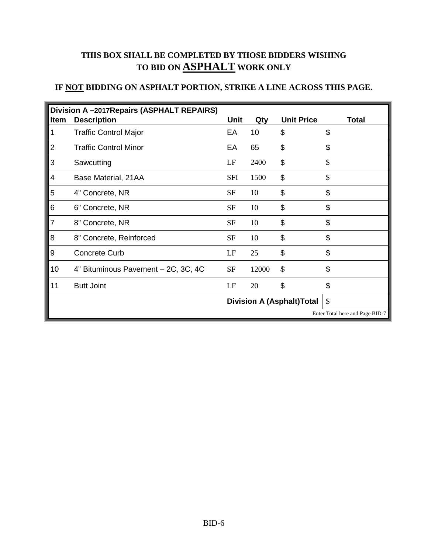# **THIS BOX SHALL BE COMPLETED BY THOSE BIDDERS WISHING TO BID ON ASPHALT WORK ONLY**

# **IF NOT BIDDING ON ASPHALT PORTION, STRIKE A LINE ACROSS THIS PAGE.**

| Division A-2017 Repairs (ASPHALT REPAIRS) |                                     |             |       |                                   |                                 |
|-------------------------------------------|-------------------------------------|-------------|-------|-----------------------------------|---------------------------------|
| <b>Item</b>                               | <b>Description</b>                  | <b>Unit</b> | Qty   | <b>Unit Price</b>                 | <b>Total</b>                    |
| 1                                         | <b>Traffic Control Major</b>        | EA          | 10    | \$                                | \$                              |
| 2                                         | <b>Traffic Control Minor</b>        | EA          | 65    | \$                                | \$                              |
| 3                                         | Sawcutting                          | LF          | 2400  | \$                                | \$                              |
| 4                                         | Base Material, 21AA                 | <b>SFI</b>  | 1500  | \$                                | \$                              |
| 5                                         | 4" Concrete, NR                     | <b>SF</b>   | 10    | \$                                | \$                              |
| 6                                         | 6" Concrete, NR                     | <b>SF</b>   | 10    | \$                                | \$                              |
| $\overline{7}$                            | 8" Concrete, NR                     | <b>SF</b>   | 10    | \$                                | \$                              |
| 8                                         | 8" Concrete, Reinforced             | <b>SF</b>   | 10    | \$                                | \$                              |
| 9                                         | <b>Concrete Curb</b>                | LF          | 25    | \$                                | \$                              |
| 10                                        | 4" Bituminous Pavement - 2C, 3C, 4C | <b>SF</b>   | 12000 | \$                                | \$                              |
| 11                                        | <b>Butt Joint</b>                   | LF          | 20    | \$                                | \$                              |
|                                           |                                     |             |       | <b>Division A (Asphalt) Total</b> | \$                              |
|                                           |                                     |             |       |                                   | Enter Total here and Page BID-7 |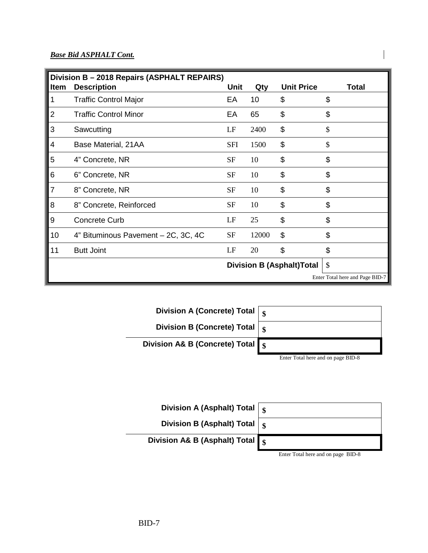## *Base Bid ASPHALT Cont.*

| Division B - 2018 Repairs (ASPHALT REPAIRS) |                                     |            |       |                                   |                                 |
|---------------------------------------------|-------------------------------------|------------|-------|-----------------------------------|---------------------------------|
| <b>Item</b>                                 | <b>Description</b>                  | Unit       | Qty   | <b>Unit Price</b>                 | <b>Total</b>                    |
| 1                                           | <b>Traffic Control Major</b>        | EA         | 10    | \$                                | \$                              |
| $\overline{2}$                              | <b>Traffic Control Minor</b>        | EA         | 65    | \$                                | \$                              |
| 3                                           | Sawcutting                          | LF         | 2400  | \$                                | \$                              |
| 4                                           | Base Material, 21AA                 | <b>SFI</b> | 1500  | \$                                | \$                              |
| 5                                           | 4" Concrete, NR                     | <b>SF</b>  | 10    | \$                                | \$                              |
| 6                                           | 6" Concrete, NR                     | <b>SF</b>  | 10    | \$                                | \$                              |
| $\overline{7}$                              | 8" Concrete, NR                     | <b>SF</b>  | 10    | \$                                | \$                              |
| 8                                           | 8" Concrete, Reinforced             | <b>SF</b>  | 10    | \$                                | \$                              |
| 9                                           | <b>Concrete Curb</b>                | LF         | 25    | \$                                | \$                              |
| 10                                          | 4" Bituminous Pavement - 2C, 3C, 4C | <b>SF</b>  | 12000 | \$                                | \$                              |
| 11                                          | <b>Butt Joint</b>                   | LF         | 20    | \$                                | \$                              |
|                                             |                                     |            |       | <b>Division B (Asphalt) Total</b> | $\mathcal{S}$                   |
|                                             |                                     |            |       |                                   | Enter Total here and Page BID-7 |





Enter Total here and on page BID-8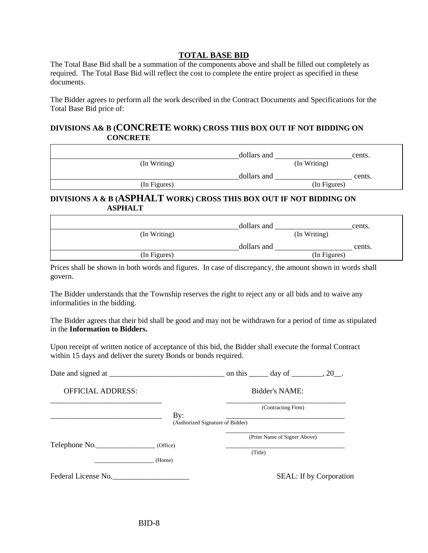## **TOTAL BASE BID**

The Total Base Bid shall be a summation of the components above and shall be filled out completely as required. The Total Base Bid will reflect the cost to complete the entire project as specified in these documents.

The Bidder agrees to perform all the work described in the Contract Documents and Specifications for the Total Base Bid price of:

## **DIVISIONS A& B (CONCRETE WORK) CROSS THIS BOX OUT IF NOT BIDDING ON CONCRETE**

|              | dollars and | cents.       |
|--------------|-------------|--------------|
| (In Writing) |             | (In Writing) |
|              | dollars and | cents.       |
| (In Figures) |             | (In Figures) |

## **DIVISIONS A & B (ASPHALT WORK) CROSS THIS BOX OUT IF NOT BIDDING ON ASPHALT**

|              | dollars and |              | cents. |
|--------------|-------------|--------------|--------|
| (In Writing) |             | (In Writing) |        |
|              | dollars and |              | cents. |
| (In Figures) |             | (In Figures) |        |

Prices shall be shown in both words and figures. In case of discrepancy, the amount shown in words shall govern.

The Bidder understands that the Township reserves the right to reject any or all bids and to waive any informalities in the bidding.

The Bidder agrees that their bid shall be good and may not be withdrawn for a period of time as stipulated in the **Information to Bidders.** 

Upon receipt of written notice of acceptance of this bid, the Bidder shall execute the formal Contract within 15 days and deliver the surety Bonds or bonds required.

|                          |                                  | on this $\_\_\_\$ day of $\_\_\_\_\$ |                                |
|--------------------------|----------------------------------|--------------------------------------|--------------------------------|
| <b>OFFICIAL ADDRESS:</b> |                                  | <b>Bidder's NAME:</b>                |                                |
|                          | By:                              | (Contracting Firm)                   |                                |
|                          | (Authorized Signature of Bidder) |                                      |                                |
|                          |                                  | (Print Name of Signer Above)         |                                |
| Telephone No.            | (Office)                         | (Title)                              |                                |
|                          | (Home)                           |                                      |                                |
| Federal License No.      |                                  |                                      | <b>SEAL:</b> If by Corporation |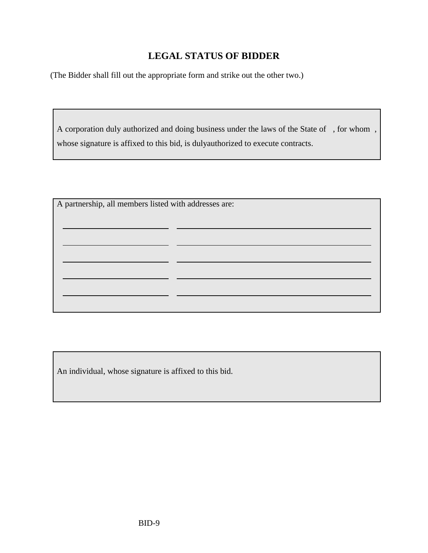# **LEGAL STATUS OF BIDDER**

(The Bidder shall fill out the appropriate form and strike out the other two.)

A corporation duly authorized and doing business under the laws of the State of , for whom , whose signature is affixed to this bid, is dulyauthorized to execute contracts.

| A partnership, all members listed with addresses are: |  |  |
|-------------------------------------------------------|--|--|
|                                                       |  |  |
|                                                       |  |  |
|                                                       |  |  |
|                                                       |  |  |
|                                                       |  |  |
|                                                       |  |  |
|                                                       |  |  |

An individual, whose signature is affixed to this bid.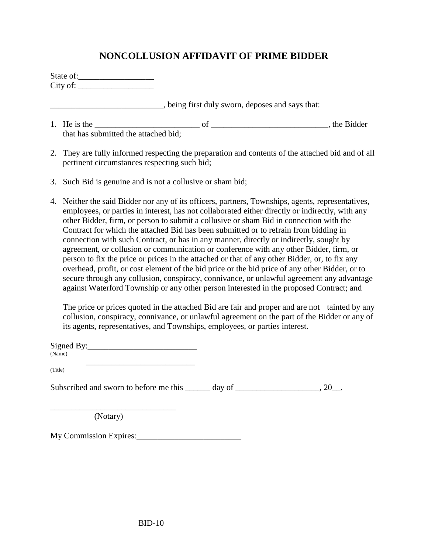# **NONCOLLUSION AFFIDAVIT OF PRIME BIDDER**

| State of: |  |
|-----------|--|
| City of:  |  |

\_\_\_\_\_\_\_\_\_\_\_\_\_\_\_\_\_\_\_\_\_\_\_\_\_\_\_, being first duly sworn, deposes and says that:

- 1. He is the \_\_\_\_\_\_\_\_\_\_\_\_\_\_\_\_\_\_\_\_\_\_\_\_\_ of \_\_\_\_\_\_\_\_\_\_\_\_\_\_\_\_\_\_\_\_\_\_\_\_\_\_\_\_, the Bidder that has submitted the attached bid;
- 2. They are fully informed respecting the preparation and contents of the attached bid and of all pertinent circumstances respecting such bid;
- 3. Such Bid is genuine and is not a collusive or sham bid;
- 4. Neither the said Bidder nor any of its officers, partners, Townships, agents, representatives, employees, or parties in interest, has not collaborated either directly or indirectly, with any other Bidder, firm, or person to submit a collusive or sham Bid in connection with the Contract for which the attached Bid has been submitted or to refrain from bidding in connection with such Contract, or has in any manner, directly or indirectly, sought by agreement, or collusion or communication or conference with any other Bidder, firm, or person to fix the price or prices in the attached or that of any other Bidder, or, to fix any overhead, profit, or cost element of the bid price or the bid price of any other Bidder, or to secure through any collusion, conspiracy, connivance, or unlawful agreement any advantage against Waterford Township or any other person interested in the proposed Contract; and

The price or prices quoted in the attached Bid are fair and proper and are not tainted by any collusion, conspiracy, connivance, or unlawful agreement on the part of the Bidder or any of its agents, representatives, and Townships, employees, or parties interest.

| Signed By: |  |
|------------|--|
| (Name)     |  |

 $(Title)$ 

Subscribed and sworn to before me this \_\_\_\_\_\_ day of \_\_\_\_\_\_\_\_\_\_\_\_\_\_\_\_\_, 20\_\_.

(Notary)

\_\_\_\_\_\_\_\_\_\_\_\_\_\_\_\_\_\_\_\_\_\_\_\_\_\_\_\_\_\_

My Commission Expires: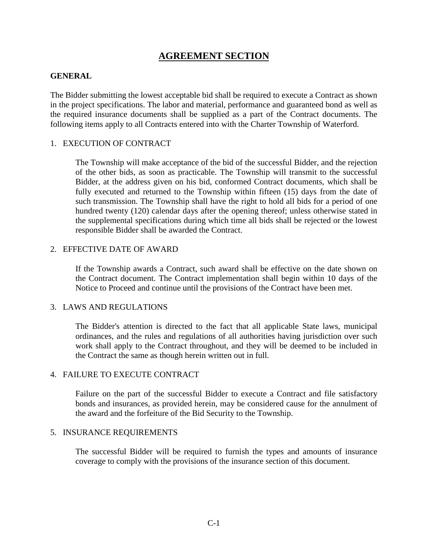# **AGREEMENT SECTION**

## **GENERAL**

The Bidder submitting the lowest acceptable bid shall be required to execute a Contract as shown in the project specifications. The labor and material, performance and guaranteed bond as well as the required insurance documents shall be supplied as a part of the Contract documents. The following items apply to all Contracts entered into with the Charter Township of Waterford.

## 1. EXECUTION OF CONTRACT

The Township will make acceptance of the bid of the successful Bidder, and the rejection of the other bids, as soon as practicable. The Township will transmit to the successful Bidder, at the address given on his bid, conformed Contract documents, which shall be fully executed and returned to the Township within fifteen (15) days from the date of such transmission. The Township shall have the right to hold all bids for a period of one hundred twenty (120) calendar days after the opening thereof; unless otherwise stated in the supplemental specifications during which time all bids shall be rejected or the lowest responsible Bidder shall be awarded the Contract.

## 2. EFFECTIVE DATE OF AWARD

If the Township awards a Contract, such award shall be effective on the date shown on the Contract document. The Contract implementation shall begin within 10 days of the Notice to Proceed and continue until the provisions of the Contract have been met.

## 3. LAWS AND REGULATIONS

The Bidder's attention is directed to the fact that all applicable State laws, municipal ordinances, and the rules and regulations of all authorities having jurisdiction over such work shall apply to the Contract throughout, and they will be deemed to be included in the Contract the same as though herein written out in full.

## 4. FAILURE TO EXECUTE CONTRACT

Failure on the part of the successful Bidder to execute a Contract and file satisfactory bonds and insurances, as provided herein, may be considered cause for the annulment of the award and the forfeiture of the Bid Security to the Township.

## 5. INSURANCE REQUIREMENTS

The successful Bidder will be required to furnish the types and amounts of insurance coverage to comply with the provisions of the insurance section of this document.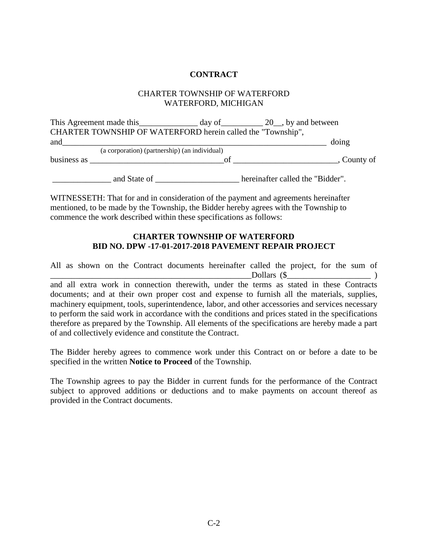## **CONTRACT**

## CHARTER TOWNSHIP OF WATERFORD WATERFORD, MICHIGAN

This Agreement made this \_\_\_\_\_\_\_\_\_\_\_\_\_ day of \_\_\_\_\_\_\_\_\_ 20\_, by and between CHARTER TOWNSHIP OF WATERFORD herein called the "Township", and\_\_\_\_\_\_\_\_\_\_\_\_\_\_\_\_\_\_\_\_\_\_\_\_\_\_\_\_\_\_\_\_\_\_\_\_\_\_\_\_\_\_\_\_\_\_\_\_\_\_\_\_\_\_\_\_\_\_\_\_\_\_\_ doing (a corporation) (partnership) (an individual) business as  $\frac{1}{\sqrt{2}}$  of  $\frac{1}{\sqrt{2}}$ , County of

\_\_\_\_\_\_\_\_\_\_\_\_\_\_ and State of \_\_\_\_\_\_\_\_\_\_\_\_\_\_\_\_\_\_\_\_ hereinafter called the "Bidder".

WITNESSETH: That for and in consideration of the payment and agreements hereinafter mentioned, to be made by the Township, the Bidder hereby agrees with the Township to commence the work described within these specifications as follows:

## **CHARTER TOWNSHIP OF WATERFORD BID NO. DPW -17-01-2017-2018 PAVEMENT REPAIR PROJECT**

All as shown on the Contract documents hereinafter called the project, for the sum of  $\text{Dollars } (\$$ and all extra work in connection therewith, under the terms as stated in these Contracts documents; and at their own proper cost and expense to furnish all the materials, supplies, machinery equipment, tools, superintendence, labor, and other accessories and services necessary to perform the said work in accordance with the conditions and prices stated in the specifications therefore as prepared by the Township. All elements of the specifications are hereby made a part of and collectively evidence and constitute the Contract.

The Bidder hereby agrees to commence work under this Contract on or before a date to be specified in the written **Notice to Proceed** of the Township.

The Township agrees to pay the Bidder in current funds for the performance of the Contract subject to approved additions or deductions and to make payments on account thereof as provided in the Contract documents.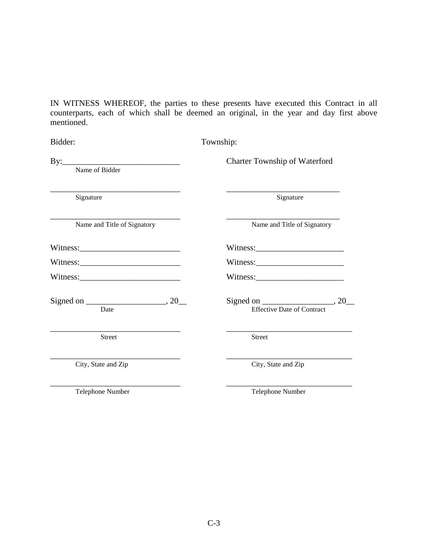IN WITNESS WHEREOF, the parties to these presents have executed this Contract in all counterparts, each of which shall be deemed an original, in the year and day first above mentioned.

| Bidder:                     | Township:                                                          |
|-----------------------------|--------------------------------------------------------------------|
| Name of Bidder              | <b>Charter Township of Waterford</b>                               |
| Signature                   | Signature                                                          |
| Name and Title of Signatory | Name and Title of Signatory                                        |
| Witness:                    | Witness:                                                           |
|                             |                                                                    |
|                             |                                                                    |
| Date                        | Signed on $\_\_\_\_\_\_$ , 20<br><b>Effective Date of Contract</b> |
| <b>Street</b>               | <b>Street</b>                                                      |
| City, State and Zip         | City, State and Zip                                                |
| Telephone Number            | Telephone Number                                                   |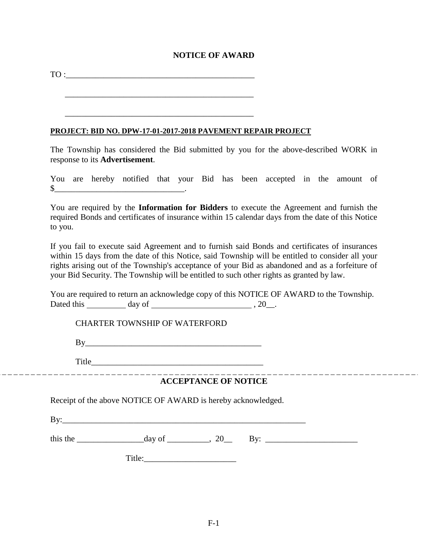## **NOTICE OF AWARD**

TO :\_\_\_\_\_\_\_\_\_\_\_\_\_\_\_\_\_\_\_\_\_\_\_\_\_\_\_\_\_\_\_\_\_\_\_\_\_\_\_\_\_\_\_\_\_

\_\_\_\_\_\_\_\_\_\_\_\_\_\_\_\_\_\_\_\_\_\_\_\_\_\_\_\_\_\_\_\_\_\_\_\_\_\_\_\_\_\_\_\_\_

\_\_\_\_\_\_\_\_\_\_\_\_\_\_\_\_\_\_\_\_\_\_\_\_\_\_\_\_\_\_\_\_\_\_\_\_\_\_\_\_\_\_\_\_\_

## **PROJECT: BID NO. DPW-17-01-2017-2018 PAVEMENT REPAIR PROJECT**

The Township has considered the Bid submitted by you for the above-described WORK in response to its **Advertisement**.

You are hereby notified that your Bid has been accepted in the amount of \$\_\_\_\_\_\_\_\_\_\_\_\_\_\_\_\_\_\_\_\_\_\_\_\_\_\_\_\_\_\_\_.

You are required by the **Information for Bidders** to execute the Agreement and furnish the required Bonds and certificates of insurance within 15 calendar days from the date of this Notice to you.

If you fail to execute said Agreement and to furnish said Bonds and certificates of insurances within 15 days from the date of this Notice, said Township will be entitled to consider all your rights arising out of the Township's acceptance of your Bid as abandoned and as a forfeiture of your Bid Security. The Township will be entitled to such other rights as granted by law.

You are required to return an acknowledge copy of this NOTICE OF AWARD to the Township. Dated this day of  $\qquad \qquad 20$ .

CHARTER TOWNSHIP OF WATERFORD

 $Bv$ 

Title

#### ---------------------------**ACCEPTANCE OF NOTICE**

Receipt of the above NOTICE OF AWARD is hereby acknowledged.

 $By:$ 

this the \_\_\_\_\_\_\_\_\_\_\_\_\_\_\_\_day of \_\_\_\_\_\_\_\_\_\_, 20\_\_ By: \_\_\_\_\_\_\_\_\_\_\_\_\_\_\_\_\_\_\_\_\_\_

Title:\_\_\_\_\_\_\_\_\_\_\_\_\_\_\_\_\_\_\_\_\_\_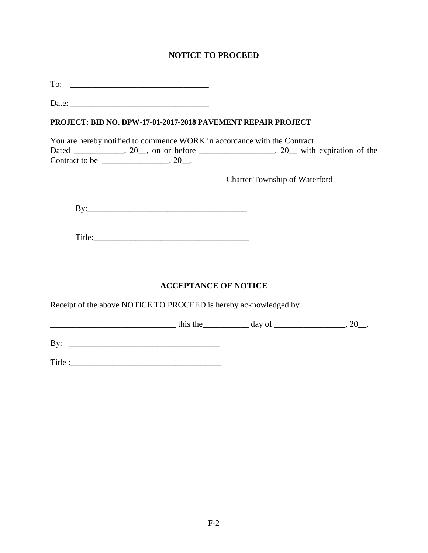## **NOTICE TO PROCEED**

 $To: \begin{array}{c} \begin{array}{c} \begin{array}{c} \text{T} \end{array} \end{array}$ 

Date:

## **PROJECT: BID NO. DPW-17-01-2017-2018 PAVEMENT REPAIR PROJECT**

|                | You are hereby notified to commence WORK in accordance with the Contract |  |                           |  |
|----------------|--------------------------------------------------------------------------|--|---------------------------|--|
| Dated          | $, 20$ , on or before                                                    |  | 20 with expiration of the |  |
| Contract to be |                                                                          |  |                           |  |

Charter Township of Waterford

By:\_\_\_\_\_\_\_\_\_\_\_\_\_\_\_\_\_\_\_\_\_\_\_\_\_\_\_\_\_\_\_\_\_\_\_\_\_\_

Title:\_\_\_\_\_\_\_\_\_\_\_\_\_\_\_\_\_\_\_\_\_\_\_\_\_\_\_\_\_\_\_\_\_\_\_\_\_

## **ACCEPTANCE OF NOTICE**

Receipt of the above NOTICE TO PROCEED is hereby acknowledged by

 $\frac{1}{2}$  this the day of \_\_\_\_\_\_\_\_\_\_\_\_\_\_\_, 20\_.

By: \_\_\_\_\_\_\_\_\_\_\_\_\_\_\_\_\_\_\_\_\_\_\_\_\_\_\_\_\_\_\_\_\_\_\_\_

Title :\_\_\_\_\_\_\_\_\_\_\_\_\_\_\_\_\_\_\_\_\_\_\_\_\_\_\_\_\_\_\_\_\_\_\_\_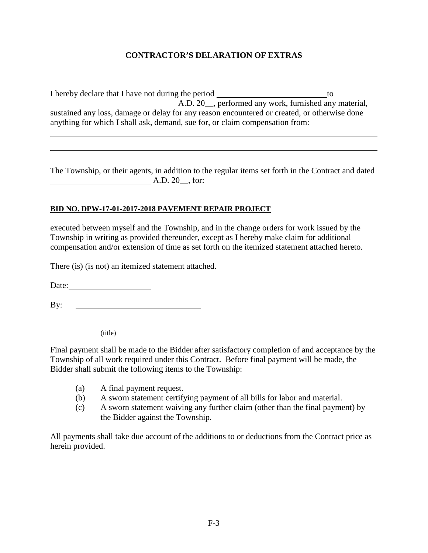## **CONTRACTOR'S DELARATION OF EXTRAS**

I hereby declare that I have not during the period to A.D. 20\_\_, performed any work, furnished any material, sustained any loss, damage or delay for any reason encountered or created, or otherwise done anything for which I shall ask, demand, sue for, or claim compensation from:

The Township, or their agents, in addition to the regular items set forth in the Contract and dated A.D. 20<sub>\_\_</sub>, for:

## **BID NO. DPW-17-01-2017-2018 PAVEMENT REPAIR PROJECT**

executed between myself and the Township, and in the change orders for work issued by the Township in writing as provided thereunder, except as I hereby make claim for additional compensation and/or extension of time as set forth on the itemized statement attached hereto.

There (is) (is not) an itemized statement attached.

Date:

By:

(title)

Final payment shall be made to the Bidder after satisfactory completion of and acceptance by the Township of all work required under this Contract. Before final payment will be made, the Bidder shall submit the following items to the Township:

- (a) A final payment request.
- (b) A sworn statement certifying payment of all bills for labor and material.
- (c) A sworn statement waiving any further claim (other than the final payment) by the Bidder against the Township.

All payments shall take due account of the additions to or deductions from the Contract price as herein provided.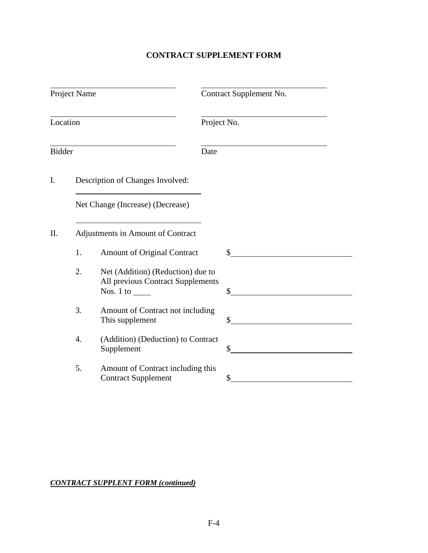# **CONTRACT SUPPLEMENT FORM**

| Project Name  |                                   |                                                                                     | Contract Supplement No. |  |  |
|---------------|-----------------------------------|-------------------------------------------------------------------------------------|-------------------------|--|--|
| Location      |                                   |                                                                                     | Project No.             |  |  |
| <b>Bidder</b> |                                   |                                                                                     | Date                    |  |  |
| I.            |                                   | Description of Changes Involved:                                                    |                         |  |  |
|               |                                   | Net Change (Increase) (Decrease)                                                    |                         |  |  |
| $\prod$ .     | Adjustments in Amount of Contract |                                                                                     |                         |  |  |
|               | 1.                                | <b>Amount of Original Contract</b>                                                  | \$                      |  |  |
|               | 2.                                | Net (Addition) (Reduction) due to<br>All previous Contract Supplements<br>Nos. 1 to | \$                      |  |  |
|               | 3.                                | Amount of Contract not including<br>This supplement                                 | \$                      |  |  |
|               | 4.                                | (Addition) (Deduction) to Contract<br>Supplement                                    | \$                      |  |  |
|               | 5.                                | Amount of Contract including this<br><b>Contract Supplement</b>                     | \$                      |  |  |

## *CONTRACT SUPPLENT FORM (continued)*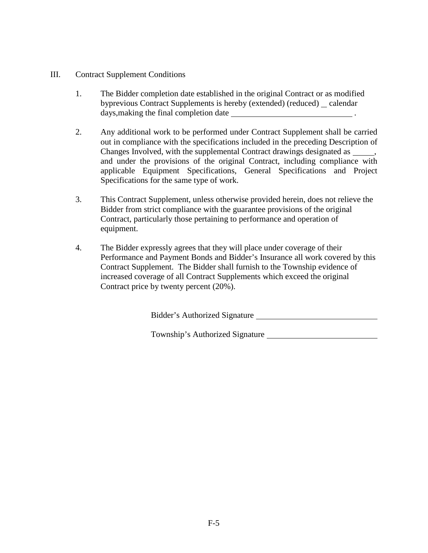- III. Contract Supplement Conditions
	- 1. The Bidder completion date established in the original Contract or as modified byprevious Contract Supplements is hereby (extended) (reduced) calendar days, making the final completion date .
	- 2. Any additional work to be performed under Contract Supplement shall be carried out in compliance with the specifications included in the preceding Description of Changes Involved, with the supplemental Contract drawings designated as  $\qquad \qquad$ , and under the provisions of the original Contract, including compliance with applicable Equipment Specifications, General Specifications and Project Specifications for the same type of work.
	- 3. This Contract Supplement, unless otherwise provided herein, does not relieve the Bidder from strict compliance with the guarantee provisions of the original Contract, particularly those pertaining to performance and operation of equipment.
	- 4. The Bidder expressly agrees that they will place under coverage of their Performance and Payment Bonds and Bidder's Insurance all work covered by this Contract Supplement. The Bidder shall furnish to the Township evidence of increased coverage of all Contract Supplements which exceed the original Contract price by twenty percent (20%).

Bidder's Authorized Signature

Township's Authorized Signature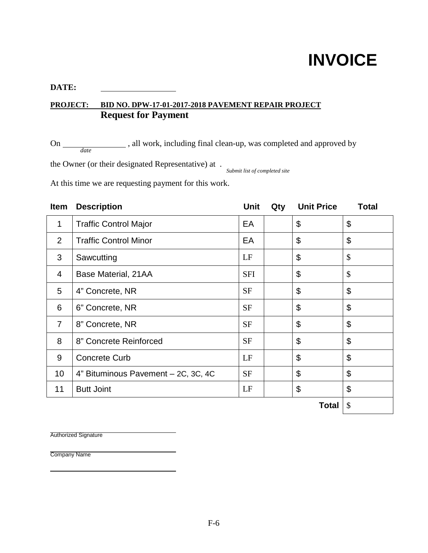# **INVOICE**

## **DATE:**

# **PROJECT: BID NO. DPW-17-01-2017-2018 PAVEMENT REPAIR PROJECT Request for Payment**

On \_\_\_\_\_\_\_\_\_\_\_\_\_\_\_\_, all work, including final clean-up, was completed and approved by *date*

the Owner (or their designated Representative) at . *Submit list of completed site*

At this time we are requesting payment for this work.

| Item           | <b>Description</b>                  | <b>Unit</b> | Qty | <b>Unit Price</b> | <b>Total</b>   |
|----------------|-------------------------------------|-------------|-----|-------------------|----------------|
| 1              | <b>Traffic Control Major</b>        | EA          |     | \$                | \$             |
| 2              | <b>Traffic Control Minor</b>        | EA          |     | \$                | \$             |
| 3              | Sawcutting                          | LF          |     | \$                | \$             |
| 4              | Base Material, 21AA                 | <b>SFI</b>  |     | \$                | \$             |
| 5              | 4" Concrete, NR                     | <b>SF</b>   |     | \$                | \$             |
| 6              | 6" Concrete, NR                     | <b>SF</b>   |     | \$                | \$             |
| $\overline{7}$ | 8" Concrete, NR                     | <b>SF</b>   |     | \$                | \$             |
| 8              | 8" Concrete Reinforced              | <b>SF</b>   |     | \$                | \$             |
| 9              | <b>Concrete Curb</b>                | LF          |     | \$                | \$             |
| 10             | 4" Bituminous Pavement - 2C, 3C, 4C | <b>SF</b>   |     | \$                | $\mathfrak{L}$ |
| 11             | <b>Butt Joint</b>                   | LF          |     | \$                | $\mathfrak{L}$ |
|                |                                     |             |     | Total             | \$             |

Authorized Signature

Company Name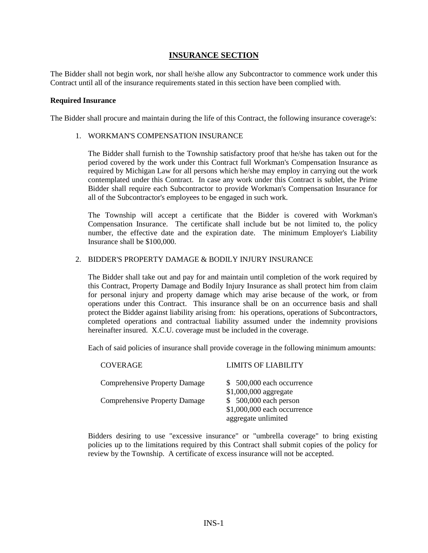## **INSURANCE SECTION**

The Bidder shall not begin work, nor shall he/she allow any Subcontractor to commence work under this Contract until all of the insurance requirements stated in this section have been complied with.

## **Required Insurance**

The Bidder shall procure and maintain during the life of this Contract, the following insurance coverage's:

1. WORKMAN'S COMPENSATION INSURANCE

The Bidder shall furnish to the Township satisfactory proof that he/she has taken out for the period covered by the work under this Contract full Workman's Compensation Insurance as required by Michigan Law for all persons which he/she may employ in carrying out the work contemplated under this Contract. In case any work under this Contract is sublet, the Prime Bidder shall require each Subcontractor to provide Workman's Compensation Insurance for all of the Subcontractor's employees to be engaged in such work.

The Township will accept a certificate that the Bidder is covered with Workman's Compensation Insurance. The certificate shall include but be not limited to, the policy number, the effective date and the expiration date. The minimum Employer's Liability Insurance shall be \$100,000.

## 2. BIDDER'S PROPERTY DAMAGE & BODILY INJURY INSURANCE

The Bidder shall take out and pay for and maintain until completion of the work required by this Contract, Property Damage and Bodily Injury Insurance as shall protect him from claim for personal injury and property damage which may arise because of the work, or from operations under this Contract. This insurance shall be on an occurrence basis and shall protect the Bidder against liability arising from: his operations, operations of Subcontractors, completed operations and contractual liability assumed under the indemnity provisions hereinafter insured. X.C.U. coverage must be included in the coverage.

Each of said policies of insurance shall provide coverage in the following minimum amounts:

| <b>COVERAGE</b>                      | LIMITS OF LIABILITY                                                          |
|--------------------------------------|------------------------------------------------------------------------------|
| <b>Comprehensive Property Damage</b> | \$500,000 each occurrence<br>\$1,000,000 aggregate                           |
| <b>Comprehensive Property Damage</b> | \$ 500,000 each person<br>\$1,000,000 each occurrence<br>aggregate unlimited |

Bidders desiring to use "excessive insurance" or "umbrella coverage" to bring existing policies up to the limitations required by this Contract shall submit copies of the policy for review by the Township. A certificate of excess insurance will not be accepted.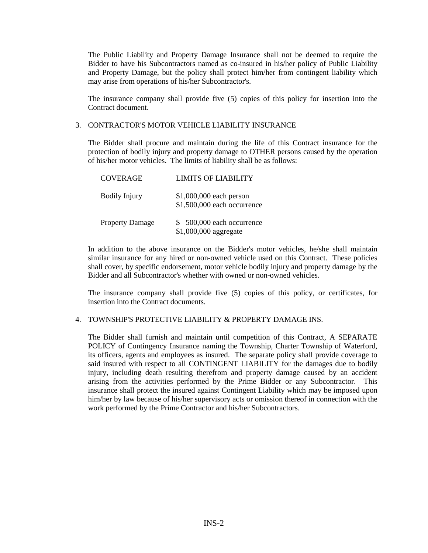The Public Liability and Property Damage Insurance shall not be deemed to require the Bidder to have his Subcontractors named as co-insured in his/her policy of Public Liability and Property Damage, but the policy shall protect him/her from contingent liability which may arise from operations of his/her Subcontractor's.

The insurance company shall provide five (5) copies of this policy for insertion into the Contract document.

## 3. CONTRACTOR'S MOTOR VEHICLE LIABILITY INSURANCE

The Bidder shall procure and maintain during the life of this Contract insurance for the protection of bodily injury and property damage to OTHER persons caused by the operation of his/her motor vehicles. The limits of liability shall be as follows:

| <b>COVERAGE</b>        | <b>LIMITS OF LIABILITY</b>                             |
|------------------------|--------------------------------------------------------|
| <b>Bodily Injury</b>   | \$1,000,000 each person<br>\$1,500,000 each occurrence |
| <b>Property Damage</b> | \$500,000 each occurrence<br>\$1,000,000 aggregate     |

In addition to the above insurance on the Bidder's motor vehicles, he/she shall maintain similar insurance for any hired or non-owned vehicle used on this Contract. These policies shall cover, by specific endorsement, motor vehicle bodily injury and property damage by the Bidder and all Subcontractor's whether with owned or non-owned vehicles.

The insurance company shall provide five (5) copies of this policy, or certificates, for insertion into the Contract documents.

## 4. TOWNSHIP'S PROTECTIVE LIABILITY & PROPERTY DAMAGE INS.

The Bidder shall furnish and maintain until competition of this Contract, A SEPARATE POLICY of Contingency Insurance naming the Township, Charter Township of Waterford, its officers, agents and employees as insured. The separate policy shall provide coverage to said insured with respect to all CONTINGENT LIABILITY for the damages due to bodily injury, including death resulting therefrom and property damage caused by an accident arising from the activities performed by the Prime Bidder or any Subcontractor. This insurance shall protect the insured against Contingent Liability which may be imposed upon him/her by law because of his/her supervisory acts or omission thereof in connection with the work performed by the Prime Contractor and his/her Subcontractors.